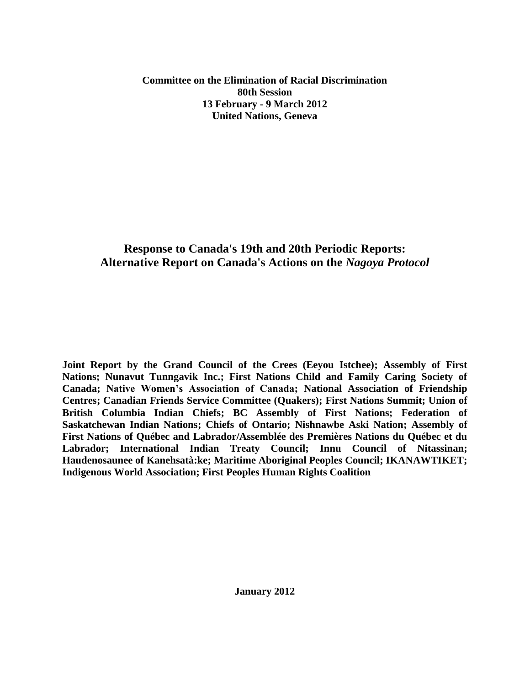#### **Committee on the Elimination of Racial Discrimination 80th Session 13 February - 9 March 2012 United Nations, Geneva**

# **Response to Canada's 19th and 20th Periodic Reports: Alternative Report on Canada's Actions on the** *Nagoya Protocol*

**Joint Report by the Grand Council of the Crees (Eeyou Istchee); Assembly of First Nations; Nunavut Tunngavik Inc.; First Nations Child and Family Caring Society of Canada; Native Women's Association of Canada; National Association of Friendship Centres; Canadian Friends Service Committee (Quakers); First Nations Summit; Union of British Columbia Indian Chiefs; BC Assembly of First Nations; Federation of Saskatchewan Indian Nations; Chiefs of Ontario; Nishnawbe Aski Nation; Assembly of First Nations of Québec and Labrador/Assemblée des Premières Nations du Québec et du Labrador; International Indian Treaty Council; Innu Council of Nitassinan; Haudenosaunee of Kanehsatà:ke; Maritime Aboriginal Peoples Council; IKANAWTIKET; Indigenous World Association; First Peoples Human Rights Coalition**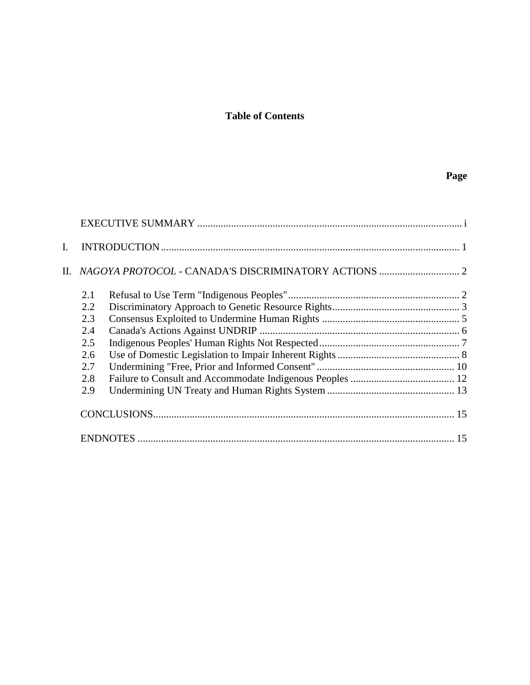# **Table of Contents**

# **Page**

| L. |     |  |
|----|-----|--|
|    |     |  |
|    | 2.1 |  |
|    | 2.2 |  |
|    | 2.3 |  |
|    | 2.4 |  |
|    | 2.5 |  |
|    | 2.6 |  |
|    | 2.7 |  |
|    | 2.8 |  |
|    | 2.9 |  |
|    |     |  |
|    |     |  |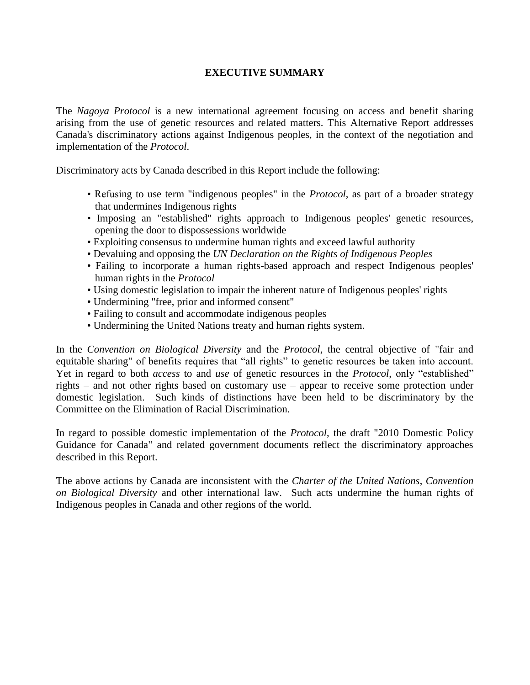### **EXECUTIVE SUMMARY**

<span id="page-2-0"></span>The *Nagoya Protocol* is a new international agreement focusing on access and benefit sharing arising from the use of genetic resources and related matters. This Alternative Report addresses Canada's discriminatory actions against Indigenous peoples, in the context of the negotiation and implementation of the *Protocol*.

Discriminatory acts by Canada described in this Report include the following:

- Refusing to use term "indigenous peoples" in the *Protocol*, as part of a broader strategy that undermines Indigenous rights
- Imposing an "established" rights approach to Indigenous peoples' genetic resources, opening the door to dispossessions worldwide
- Exploiting consensus to undermine human rights and exceed lawful authority
- Devaluing and opposing the *UN Declaration on the Rights of Indigenous Peoples*
- Failing to incorporate a human rights-based approach and respect Indigenous peoples' human rights in the *Protocol*
- Using domestic legislation to impair the inherent nature of Indigenous peoples' rights
- Undermining "free, prior and informed consent"
- Failing to consult and accommodate indigenous peoples
- Undermining the United Nations treaty and human rights system.

In the *Convention on Biological Diversity* and the *Protocol*, the central objective of "fair and equitable sharing" of benefits requires that "all rights" to genetic resources be taken into account. Yet in regard to both *access* to and *use* of genetic resources in the *Protocol*, only "established" rights – and not other rights based on customary use – appear to receive some protection under domestic legislation. Such kinds of distinctions have been held to be discriminatory by the Committee on the Elimination of Racial Discrimination.

In regard to possible domestic implementation of the *Protocol*, the draft "2010 Domestic Policy Guidance for Canada" and related government documents reflect the discriminatory approaches described in this Report.

The above actions by Canada are inconsistent with the *Charter of the United Nations*, *Convention on Biological Diversity* and other international law. Such acts undermine the human rights of Indigenous peoples in Canada and other regions of the world.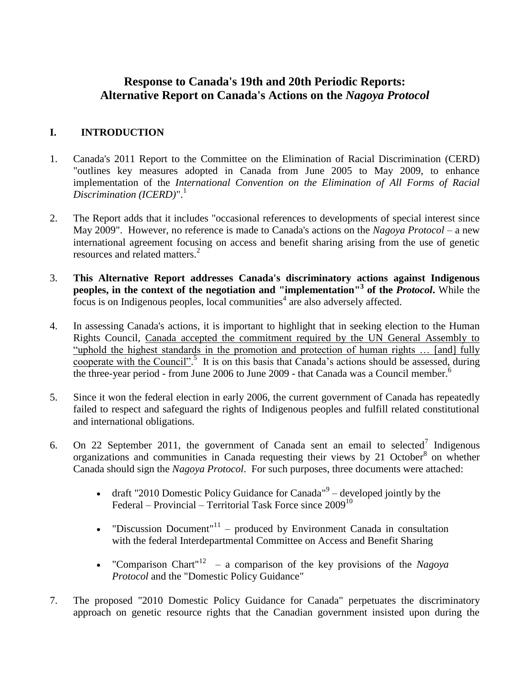# **Response to Canada's 19th and 20th Periodic Reports: Alternative Report on Canada's Actions on the** *Nagoya Protocol*

# <span id="page-3-0"></span>**I. INTRODUCTION**

- 1. Canada's 2011 Report to the Committee on the Elimination of Racial Discrimination (CERD) "outlines key measures adopted in Canada from June 2005 to May 2009, to enhance implementation of the *International Convention on the Elimination of All Forms of Racial Discrimination (ICERD)*". 1
- 2. The Report adds that it includes "occasional references to developments of special interest since May 2009". However, no reference is made to Canada's actions on the *Nagoya Protocol* – a new international agreement focusing on access and benefit sharing arising from the use of genetic resources and related matters.<sup>2</sup>
- 3. **This Alternative Report addresses Canada's discriminatory actions against Indigenous peoples, in the context of the negotiation and "implementation" 3 of the** *Protocol***.** While the  $\frac{1}{2}$  focus is on Indigenous peoples, local communities<sup>4</sup> are also adversely affected.
- 4. In assessing Canada's actions, it is important to highlight that in seeking election to the Human Rights Council, Canada accepted the commitment required by the UN General Assembly to "uphold the highest standards in the promotion and protection of human rights … [and] fully cooperate with the Council".<sup>5</sup> It is on this basis that Canada's actions should be assessed, during the three-year period - from June 2006 to June 2009 - that Canada was a Council member.<sup>6</sup>
- 5. Since it won the federal election in early 2006, the current government of Canada has repeatedly failed to respect and safeguard the rights of Indigenous peoples and fulfill related constitutional and international obligations.
- <span id="page-3-2"></span>6. On 22 September 2011, the government of Canada sent an email to selected<sup>7</sup> Indigenous organizations and communities in Canada requesting their views by 21 October $8$  on whether Canada should sign the *Nagoya Protocol*. For such purposes, three documents were attached:
	- draft "2010 Domestic Policy Guidance for Canada" $9$  developed jointly by the Federal – Provincial – Territorial Task Force since  $2009^{10}$
	- "Discussion Document"<sup>11</sup> produced by Environment Canada in consultation with the federal Interdepartmental Committee on Access and Benefit Sharing
	- "Comparison Chart<sup>"12</sup> a comparison of the key provisions of the *Nagoya Protocol* and the "Domestic Policy Guidance"
- <span id="page-3-4"></span><span id="page-3-3"></span><span id="page-3-1"></span>7. The proposed "2010 Domestic Policy Guidance for Canada" perpetuates the discriminatory approach on genetic resource rights that the Canadian government insisted upon during the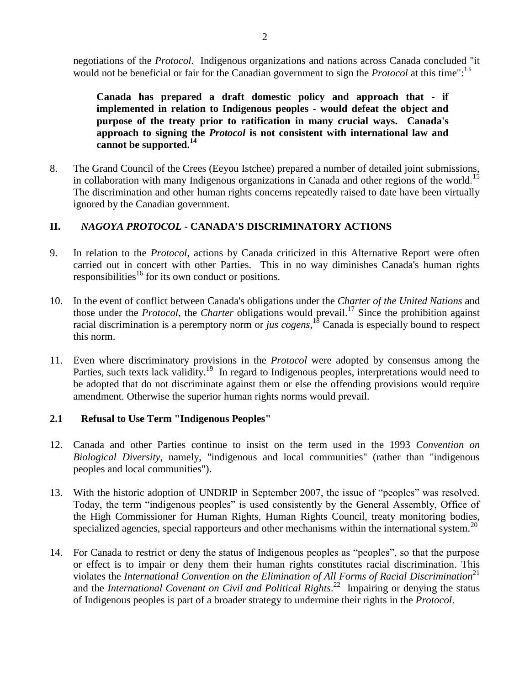**Canada has prepared a draft domestic policy and approach that - if implemented in relation to Indigenous peoples - would defeat the object and purpose of the treaty prior to ratification in many crucial ways. Canada's approach to signing the** *Protocol* **is not consistent with international law and cannot be supported.<sup>14</sup>**

8. The Grand Council of the Crees (Eeyou Istchee) prepared a number of detailed joint submissions, in collaboration with many Indigenous organizations in Canada and other regions of the world.<sup>15</sup> The discrimination and other human rights concerns repeatedly raised to date have been virtually ignored by the Canadian government.

# <span id="page-4-0"></span>**II.** *NAGOYA PROTOCOL* **- CANADA'S DISCRIMINATORY ACTIONS**

- 9. In relation to the *Protocol*, actions by Canada criticized in this Alternative Report were often carried out in concert with other Parties. This in no way diminishes Canada's human rights responsibilities<sup>16</sup> for its own conduct or positions.
- 10. In the event of conflict between Canada's obligations under the *Charter of the United Nations* and those under the *Protocol*, the *Charter* obligations would prevail.<sup>17</sup> Since the prohibition against racial discrimination is a peremptory norm or *jus cogens*, <sup>18</sup> Canada is especially bound to respect this norm.
- 11. Even where discriminatory provisions in the *Protocol* were adopted by consensus among the Parties, such texts lack validity.<sup>19</sup> In regard to Indigenous peoples, interpretations would need to be adopted that do not discriminate against them or else the offending provisions would require amendment. Otherwise the superior human rights norms would prevail.

# <span id="page-4-1"></span>**2.1 Refusal to Use Term "Indigenous Peoples"**

- 12. Canada and other Parties continue to insist on the term used in the 1993 *Convention on Biological Diversity*, namely, "indigenous and local communities" (rather than "indigenous peoples and local communities").
- 13. With the historic adoption of UNDRIP in September 2007, the issue of "peoples" was resolved. Today, the term "indigenous peoples" is used consistently by the General Assembly, Office of the High Commissioner for Human Rights, Human Rights Council, treaty monitoring bodies, specialized agencies, special rapporteurs and other mechanisms within the international system.<sup>20</sup>
- <span id="page-4-2"></span>14. For Canada to restrict or deny the status of Indigenous peoples as "peoples", so that the purpose or effect is to impair or deny them their human rights constitutes racial discrimination. This violates the *International Convention on the Elimination of All Forms of Racial Discrimination*<sup>21</sup> and the *International Covenant on Civil and Political Rights*. 22 Impairing or denying the status of Indigenous peoples is part of a broader strategy to undermine their rights in the *Protocol*.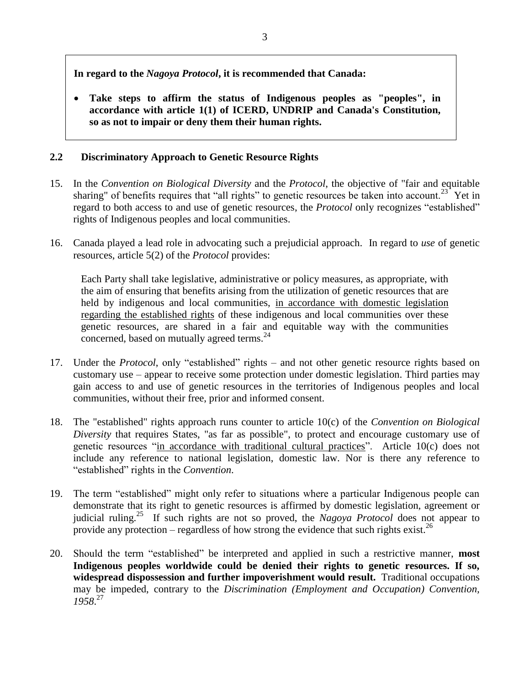**In regard to the** *Nagoya Protocol***, it is recommended that Canada:**

 **Take steps to affirm the status of Indigenous peoples as "peoples", in accordance with article 1(1) of ICERD, UNDRIP and Canada's Constitution, so as not to impair or deny them their human rights.**

# <span id="page-5-0"></span>**2.2 Discriminatory Approach to Genetic Resource Rights**

- 15. In the *Convention on Biological Diversity* and the *Protocol*, the objective of "fair and equitable sharing" of benefits requires that "all rights" to genetic resources be taken into account.<sup>23</sup> Yet in regard to both access to and use of genetic resources, the *Protocol* only recognizes "established" rights of Indigenous peoples and local communities.
- 16. Canada played a lead role in advocating such a prejudicial approach. In regard to *use* of genetic resources, article 5(2) of the *Protocol* provides:

<span id="page-5-1"></span>Each Party shall take legislative, administrative or policy measures, as appropriate, with the aim of ensuring that benefits arising from the utilization of genetic resources that are held by indigenous and local communities, in accordance with domestic legislation regarding the established rights of these indigenous and local communities over these genetic resources, are shared in a fair and equitable way with the communities concerned, based on mutually agreed terms.<sup>24</sup>

- 17. Under the *Protocol*, only "established" rights and not other genetic resource rights based on customary use – appear to receive some protection under domestic legislation. Third parties may gain access to and use of genetic resources in the territories of Indigenous peoples and local communities, without their free, prior and informed consent.
- 18. The "established" rights approach runs counter to article 10(c) of the *Convention on Biological Diversity* that requires States, "as far as possible", to protect and encourage customary use of genetic resources "in accordance with traditional cultural practices". Article 10(c) does not include any reference to national legislation, domestic law. Nor is there any reference to "established" rights in the *Convention*.
- 19. The term "established" might only refer to situations where a particular Indigenous people can demonstrate that its right to genetic resources is affirmed by domestic legislation, agreement or judicial ruling.<sup>25</sup> If such rights are not so proved, the *Nagoya Protocol* does not appear to provide any protection – regardless of how strong the evidence that such rights exist.<sup>26</sup>
- <span id="page-5-2"></span>20. Should the term "established" be interpreted and applied in such a restrictive manner, **most Indigenous peoples worldwide could be denied their rights to genetic resources. If so, widespread dispossession and further impoverishment would result.** Traditional occupations may be impeded, contrary to the *Discrimination (Employment and Occupation) Convention, 1958*. 27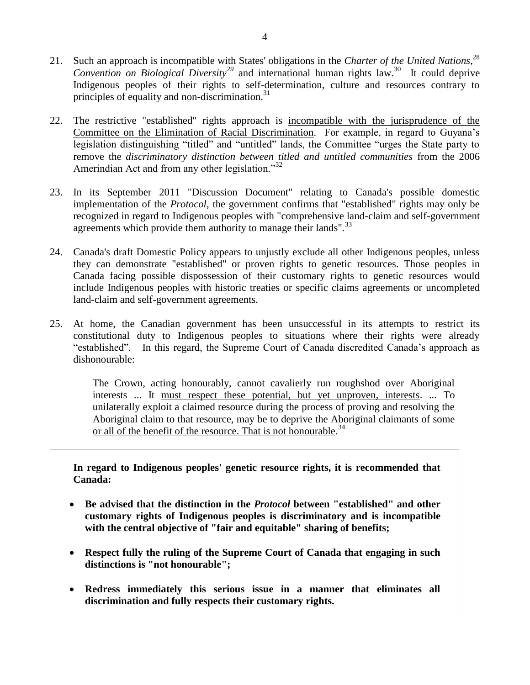- <span id="page-6-0"></span>21. Such an approach is incompatible with States' obligations in the *Charter of the United Nations*, 28 *Convention on Biological Diversity<sup>29</sup>* and international human rights law.<sup>30</sup> It could deprive Indigenous peoples of their rights to self-determination, culture and resources contrary to principles of equality and non-discrimination.<sup>31</sup>
- 22. The restrictive "established" rights approach is incompatible with the jurisprudence of the Committee on the Elimination of Racial Discrimination. For example, in regard to Guyana"s legislation distinguishing "titled" and "untitled" lands, the Committee "urges the State party to remove the *discriminatory distinction between titled and untitled communities* from the 2006 Amerindian Act and from any other legislation."<sup>32</sup>
- 23. In its September 2011 "Discussion Document" relating to Canada's possible domestic implementation of the *Protocol*, the government confirms that "established" rights may only be recognized in regard to Indigenous peoples with "comprehensive land-claim and self-government agreements which provide them authority to manage their lands". $^{33}$
- 24. Canada's draft Domestic Policy appears to unjustly exclude all other Indigenous peoples, unless they can demonstrate "established" or proven rights to genetic resources. Those peoples in Canada facing possible dispossession of their customary rights to genetic resources would include Indigenous peoples with historic treaties or specific claims agreements or uncompleted land-claim and self-government agreements.
- 25. At home, the Canadian government has been unsuccessful in its attempts to restrict its constitutional duty to Indigenous peoples to situations where their rights were already "established". In this regard, the Supreme Court of Canada discredited Canada"s approach as dishonourable:

The Crown, acting honourably, cannot cavalierly run roughshod over Aboriginal interests ... It must respect these potential, but yet unproven, interests. ... To unilaterally exploit a claimed resource during the process of proving and resolving the Aboriginal claim to that resource, may be to deprive the Aboriginal claimants of some or all of the benefit of the resource. That is not honourable.<sup>34</sup>

**In regard to Indigenous peoples' genetic resource rights, it is recommended that Canada:**

- **Be advised that the distinction in the** *Protocol* **between "established" and other customary rights of Indigenous peoples is discriminatory and is incompatible with the central objective of "fair and equitable" sharing of benefits;**
- **Respect fully the ruling of the Supreme Court of Canada that engaging in such distinctions is "not honourable";**
- **Redress immediately this serious issue in a manner that eliminates all discrimination and fully respects their customary rights.**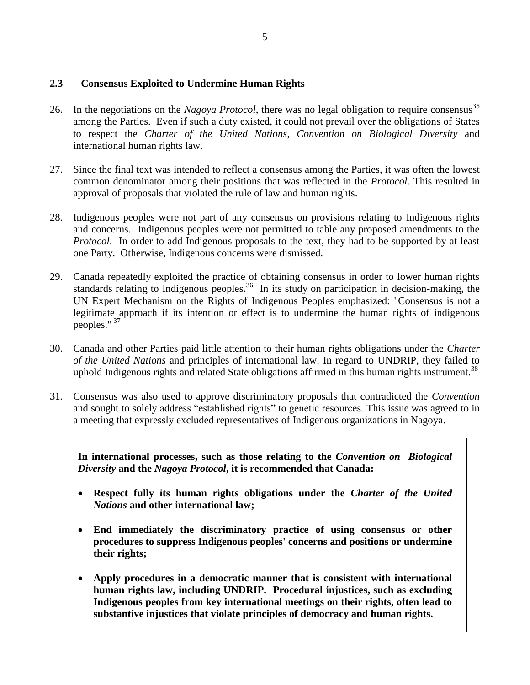### <span id="page-7-0"></span>**2.3 Consensus Exploited to Undermine Human Rights**

- 26. In the negotiations on the *Nagoya Protocol*, there was no legal obligation to require consensus<sup>35</sup> among the Parties. Even if such a duty existed, it could not prevail over the obligations of States to respect the *Charter of the United Nations*, *Convention on Biological Diversity* and international human rights law.
- 27. Since the final text was intended to reflect a consensus among the Parties, it was often the lowest common denominator among their positions that was reflected in the *Protocol*. This resulted in approval of proposals that violated the rule of law and human rights.
- 28. Indigenous peoples were not part of any consensus on provisions relating to Indigenous rights and concerns. Indigenous peoples were not permitted to table any proposed amendments to the *Protocol.* In order to add Indigenous proposals to the text, they had to be supported by at least one Party. Otherwise, Indigenous concerns were dismissed.
- 29. Canada repeatedly exploited the practice of obtaining consensus in order to lower human rights standards relating to Indigenous peoples.<sup>36</sup> In its study on participation in decision-making, the UN Expert Mechanism on the Rights of Indigenous Peoples emphasized: "Consensus is not a legitimate approach if its intention or effect is to undermine the human rights of indigenous peoples." <sup>37</sup>
- <span id="page-7-1"></span>30. Canada and other Parties paid little attention to their human rights obligations under the *Charter of the United Nations* and principles of international law. In regard to UNDRIP, they failed to uphold Indigenous rights and related State obligations affirmed in this human rights instrument.<sup>38</sup>
- 31. Consensus was also used to approve discriminatory proposals that contradicted the *Convention* and sought to solely address "established rights" to genetic resources. This issue was agreed to in a meeting that expressly excluded representatives of Indigenous organizations in Nagoya.

**In international processes, such as those relating to the** *Convention on Biological Diversity* **and the** *Nagoya Protocol***, it is recommended that Canada:**

- **Respect fully its human rights obligations under the** *Charter of the United Nations* **and other international law;**
- **End immediately the discriminatory practice of using consensus or other procedures to suppress Indigenous peoples' concerns and positions or undermine their rights;**
- **Apply procedures in a democratic manner that is consistent with international human rights law, including UNDRIP. Procedural injustices, such as excluding Indigenous peoples from key international meetings on their rights, often lead to substantive injustices that violate principles of democracy and human rights.**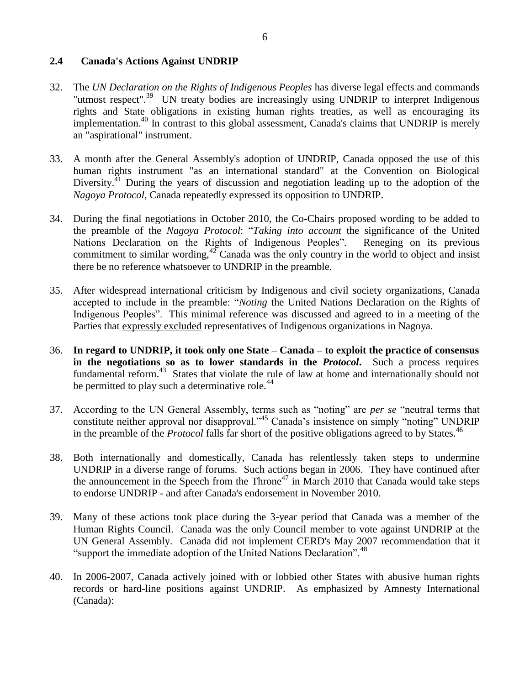#### <span id="page-8-0"></span>**2.4 Canada's Actions Against UNDRIP**

- <span id="page-8-3"></span>32. The *UN Declaration on the Rights of Indigenous Peoples* has diverse legal effects and commands "utmost respect".<sup>39</sup> UN treaty bodies are increasingly using UNDRIP to interpret Indigenous rights and State obligations in existing human rights treaties, as well as encouraging its implementation.<sup>40</sup> In contrast to this global assessment, Canada's claims that UNDRIP is merely an "aspirational" instrument.
- <span id="page-8-1"></span>33. A month after the General Assembly's adoption of UNDRIP, Canada opposed the use of this human rights instrument "as an international standard" at the Convention on Biological Diversity.<sup> $41$ </sup> During the years of discussion and negotiation leading up to the adoption of the *Nagoya Protocol*, Canada repeatedly expressed its opposition to UNDRIP.
- 34. During the final negotiations in October 2010, the Co-Chairs proposed wording to be added to the preamble of the *Nagoya Protocol*: "*Taking into account* the significance of the United Nations Declaration on the Rights of Indigenous Peoples". Reneging on its previous commitment to similar wording,  $42^{\circ}$  Canada was the only country in the world to object and insist there be no reference whatsoever to UNDRIP in the preamble.
- 35. After widespread international criticism by Indigenous and civil society organizations, Canada accepted to include in the preamble: "*Noting* the United Nations Declaration on the Rights of Indigenous Peoples". This minimal reference was discussed and agreed to in a meeting of the Parties that expressly excluded representatives of Indigenous organizations in Nagoya.
- 36. **In regard to UNDRIP, it took only one State – Canada – to exploit the practice of consensus in the negotiations so as to lower standards in the** *Protocol***.** Such a process requires fundamental reform.<sup>43</sup> States that violate the rule of law at home and internationally should not be permitted to play such a determinative role.<sup>44</sup>
- <span id="page-8-2"></span>37. According to the UN General Assembly, terms such as "noting" are *per se* "neutral terms that constitute neither approval nor disapproval."<sup>45</sup> Canada"s insistence on simply "noting" UNDRIP in the preamble of the *Protocol* falls far short of the positive obligations agreed to by States.<sup>46</sup>
- 38. Both internationally and domestically, Canada has relentlessly taken steps to undermine UNDRIP in a diverse range of forums. Such actions began in 2006. They have continued after the announcement in the Speech from the Throne<sup>47</sup> in March 2010 that Canada would take steps to endorse UNDRIP - and after Canada's endorsement in November 2010.
- 39. Many of these actions took place during the 3-year period that Canada was a member of the Human Rights Council. Canada was the only Council member to vote against UNDRIP at the UN General Assembly. Canada did not implement CERD's May 2007 recommendation that it "support the immediate adoption of the United Nations Declaration".<sup>48</sup>
- 40. In 2006-2007, Canada actively joined with or lobbied other States with abusive human rights records or hard-line positions against UNDRIP. As emphasized by Amnesty International (Canada):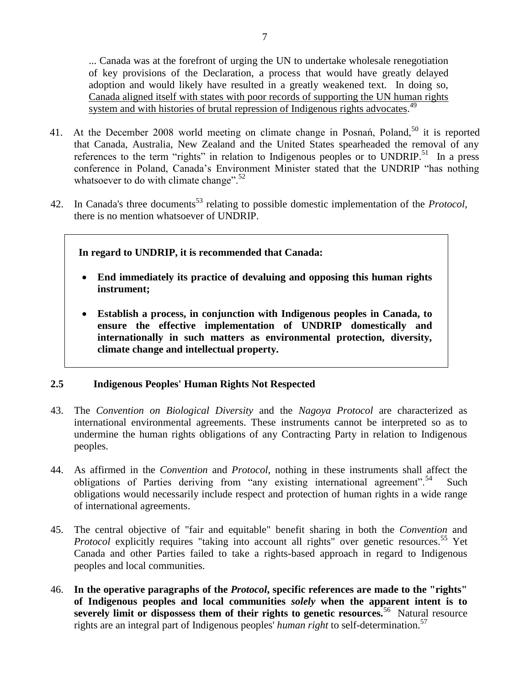... Canada was at the forefront of urging the UN to undertake wholesale renegotiation of key provisions of the Declaration, a process that would have greatly delayed adoption and would likely have resulted in a greatly weakened text. In doing so, Canada aligned itself with states with poor records of supporting the UN human rights system and with histories of brutal repression of Indigenous rights advocates.<sup>49</sup>

- 41. At the December 2008 world meeting on climate change in Posnań, Poland,<sup>50</sup> it is reported that Canada, Australia, New Zealand and the United States spearheaded the removal of any references to the term "rights" in relation to Indigenous peoples or to UNDRIP.<sup>51</sup> In a press conference in Poland, Canada"s Environment Minister stated that the UNDRIP "has nothing whatsoever to do with climate change". $52$
- 42. In Canada's three documents<sup>53</sup> relating to possible domestic implementation of the *Protocol*, there is no mention whatsoever of UNDRIP.

### **In regard to UNDRIP, it is recommended that Canada:**

- **End immediately its practice of devaluing and opposing this human rights instrument;**
- **Establish a process, in conjunction with Indigenous peoples in Canada, to ensure the effective implementation of UNDRIP domestically and internationally in such matters as environmental protection, diversity, climate change and intellectual property.**

#### <span id="page-9-0"></span>**2.5 Indigenous Peoples' Human Rights Not Respected**

- 43. The *Convention on Biological Diversity* and the *Nagoya Protocol* are characterized as international environmental agreements. These instruments cannot be interpreted so as to undermine the human rights obligations of any Contracting Party in relation to Indigenous peoples.
- <span id="page-9-1"></span>44. As affirmed in the *Convention* and *Protocol*, nothing in these instruments shall affect the obligations of Parties deriving from "any existing international agreement".<sup>54</sup> Such obligations would necessarily include respect and protection of human rights in a wide range of international agreements.
- 45. The central objective of "fair and equitable" benefit sharing in both the *Convention* and Protocol explicitly requires "taking into account all rights" over genetic resources.<sup>55</sup> Yet Canada and other Parties failed to take a rights-based approach in regard to Indigenous peoples and local communities.
- 46. **In the operative paragraphs of the** *Protocol***, specific references are made to the "rights" of Indigenous peoples and local communities** *solely* **when the apparent intent is to**  severely limit or dispossess them of their rights to genetic resources.<sup>56</sup> Natural resource rights are an integral part of Indigenous peoples' *human right* to self-determination.<sup>57</sup>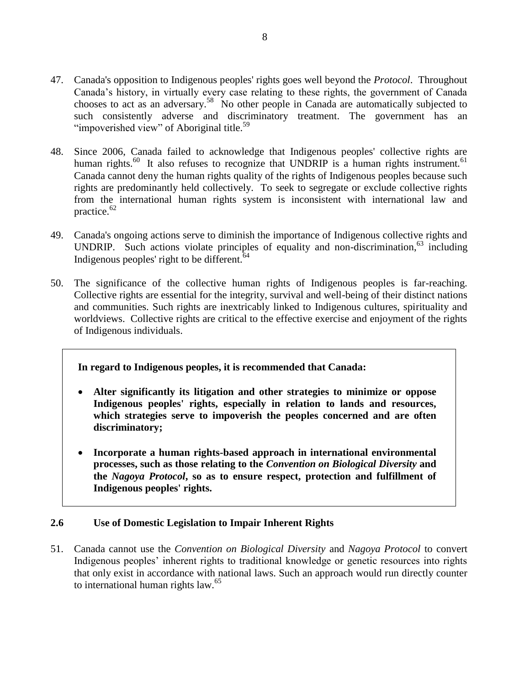- 47. Canada's opposition to Indigenous peoples' rights goes well beyond the *Protocol*. Throughout Canada"s history, in virtually every case relating to these rights, the government of Canada chooses to act as an adversary.<sup>58</sup> No other people in Canada are automatically subjected to such consistently adverse and discriminatory treatment. The government has an "impoverished view" of Aboriginal title. $59$
- 48. Since 2006, Canada failed to acknowledge that Indigenous peoples' collective rights are human rights.<sup>60</sup> It also refuses to recognize that UNDRIP is a human rights instrument.<sup>61</sup> Canada cannot deny the human rights quality of the rights of Indigenous peoples because such rights are predominantly held collectively. To seek to segregate or exclude collective rights from the international human rights system is inconsistent with international law and practice. $62$
- 49. Canada's ongoing actions serve to diminish the importance of Indigenous collective rights and UNDRIP. Such actions violate principles of equality and non-discrimination,<sup>63</sup> including Indigenous peoples' right to be different.  $64$
- 50. The significance of the collective human rights of Indigenous peoples is far-reaching. Collective rights are essential for the integrity, survival and well-being of their distinct nations and communities. Such rights are inextricably linked to Indigenous cultures, spirituality and worldviews. Collective rights are critical to the effective exercise and enjoyment of the rights of Indigenous individuals.

#### **In regard to Indigenous peoples, it is recommended that Canada:**

- **Alter significantly its litigation and other strategies to minimize or oppose Indigenous peoples' rights, especially in relation to lands and resources, which strategies serve to impoverish the peoples concerned and are often discriminatory;**
- **Incorporate a human rights-based approach in international environmental processes, such as those relating to the** *Convention on Biological Diversity* **and the** *Nagoya Protocol***, so as to ensure respect, protection and fulfillment of Indigenous peoples' rights.**

## <span id="page-10-0"></span>**2.6 Use of Domestic Legislation to Impair Inherent Rights**

51. Canada cannot use the *Convention on Biological Diversity* and *Nagoya Protocol* to convert Indigenous peoples" inherent rights to traditional knowledge or genetic resources into rights that only exist in accordance with national laws. Such an approach would run directly counter to international human rights  $law<sup>65</sup>$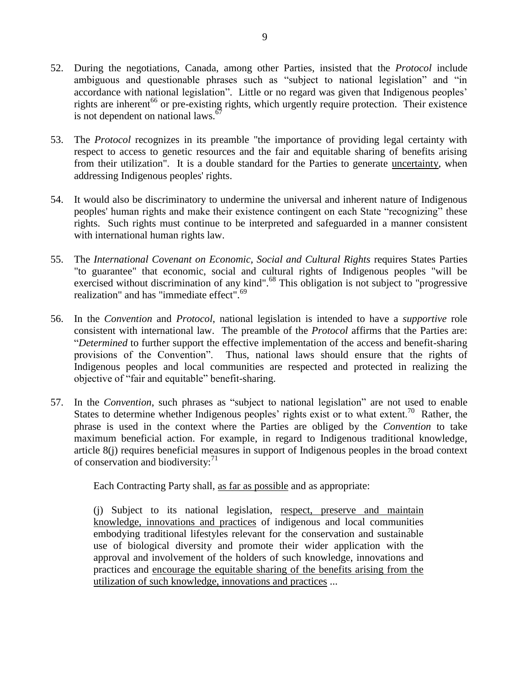- 52. During the negotiations, Canada, among other Parties, insisted that the *Protocol* include ambiguous and questionable phrases such as "subject to national legislation" and "in accordance with national legislation". Little or no regard was given that Indigenous peoples' rights are inherent<sup>66</sup> or pre-existing rights, which urgently require protection. Their existence is not dependent on national laws.<sup>67</sup>
- 53. The *Protocol* recognizes in its preamble "the importance of providing legal certainty with respect to access to genetic resources and the fair and equitable sharing of benefits arising from their utilization". It is a double standard for the Parties to generate uncertainty, when addressing Indigenous peoples' rights.
- 54. It would also be discriminatory to undermine the universal and inherent nature of Indigenous peoples' human rights and make their existence contingent on each State "recognizing" these rights. Such rights must continue to be interpreted and safeguarded in a manner consistent with international human rights law.
- 55. The *International Covenant on Economic, Social and Cultural Rights* requires States Parties "to guarantee" that economic, social and cultural rights of Indigenous peoples "will be exercised without discrimination of any kind".<sup>68</sup> This obligation is not subject to "progressive" realization" and has "immediate effect".<sup>69</sup>
- 56. In the *Convention* and *Protocol*, national legislation is intended to have a *supportive* role consistent with international law. The preamble of the *Protocol* affirms that the Parties are: "*Determined* to further support the effective implementation of the access and benefit-sharing provisions of the Convention". Thus, national laws should ensure that the rights of Indigenous peoples and local communities are respected and protected in realizing the objective of "fair and equitable" benefit-sharing.
- 57. In the *Convention*, such phrases as "subject to national legislation" are not used to enable States to determine whether Indigenous peoples' rights exist or to what extent.<sup>70</sup> Rather, the phrase is used in the context where the Parties are obliged by the *Convention* to take maximum beneficial action. For example, in regard to Indigenous traditional knowledge, article 8(j) requires beneficial measures in support of Indigenous peoples in the broad context of conservation and biodiversity: $71$

Each Contracting Party shall, as far as possible and as appropriate:

(j) Subject to its national legislation, respect, preserve and maintain knowledge, innovations and practices of indigenous and local communities embodying traditional lifestyles relevant for the conservation and sustainable use of biological diversity and promote their wider application with the approval and involvement of the holders of such knowledge, innovations and practices and encourage the equitable sharing of the benefits arising from the utilization of such knowledge, innovations and practices ...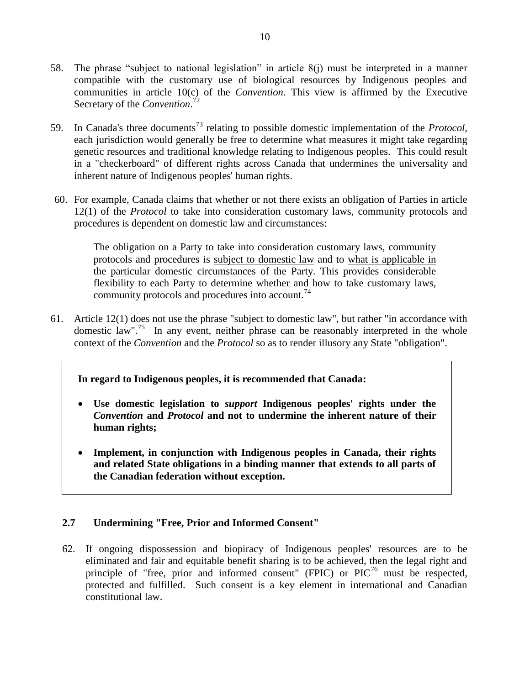- 58. The phrase "subject to national legislation" in article 8(j) must be interpreted in a manner compatible with the customary use of biological resources by Indigenous peoples and communities in article 10(c) of the *Convention*. This view is affirmed by the Executive Secretary of the *Convention*. 72
- 59. In Canada's three documents<sup>73</sup> relating to possible domestic implementation of the *Protocol*, each jurisdiction would generally be free to determine what measures it might take regarding genetic resources and traditional knowledge relating to Indigenous peoples. This could result in a "checkerboard" of different rights across Canada that undermines the universality and inherent nature of Indigenous peoples' human rights.
- 60. For example, Canada claims that whether or not there exists an obligation of Parties in article 12(1) of the *Protocol* to take into consideration customary laws, community protocols and procedures is dependent on domestic law and circumstances:

The obligation on a Party to take into consideration customary laws, community protocols and procedures is subject to domestic law and to what is applicable in the particular domestic circumstances of the Party. This provides considerable flexibility to each Party to determine whether and how to take customary laws, community protocols and procedures into account.<sup>74</sup>

61. Article 12(1) does not use the phrase "subject to domestic law", but rather "in accordance with domestic law".<sup>75</sup> In any event, neither phrase can be reasonably interpreted in the whole context of the *Convention* and the *Protocol* so as to render illusory any State "obligation".

## **In regard to Indigenous peoples, it is recommended that Canada:**

- **Use domestic legislation to** *support* **Indigenous peoples' rights under the**  *Convention* **and** *Protocol* **and not to undermine the inherent nature of their human rights;**
- **Implement, in conjunction with Indigenous peoples in Canada, their rights and related State obligations in a binding manner that extends to all parts of the Canadian federation without exception.**

## <span id="page-12-0"></span>**2.7 Undermining "Free, Prior and Informed Consent"**

62. If ongoing dispossession and biopiracy of Indigenous peoples' resources are to be eliminated and fair and equitable benefit sharing is to be achieved, then the legal right and principle of "free, prior and informed consent" (FPIC) or  $\text{PIC}^{76}$  must be respected, protected and fulfilled. Such consent is a key element in international and Canadian constitutional law.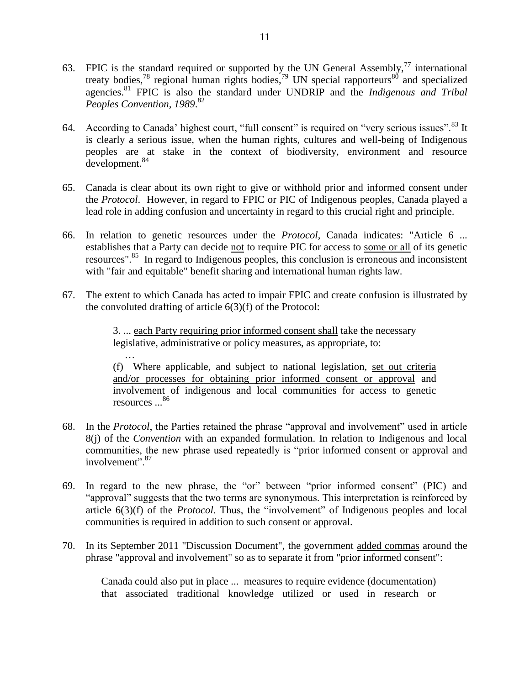- 63. FPIC is the standard required or supported by the UN General Assembly, $^{77}$  international treaty bodies,<sup>78</sup> regional human rights bodies,<sup>79</sup> UN special rapporteurs<sup>80</sup> and specialized agencies.<sup>81</sup> FPIC is also the standard under UNDRIP and the *Indigenous and Tribal Peoples Convention, 1989*. 82
- <span id="page-13-0"></span>64. According to Canada' highest court, "full consent" is required on "very serious issues".<sup>83</sup> It is clearly a serious issue, when the human rights, cultures and well-being of Indigenous peoples are at stake in the context of biodiversity, environment and resource development.<sup>84</sup>
- 65. Canada is clear about its own right to give or withhold prior and informed consent under the *Protocol*. However, in regard to FPIC or PIC of Indigenous peoples, Canada played a lead role in adding confusion and uncertainty in regard to this crucial right and principle.
- 66. In relation to genetic resources under the *Protocol*, Canada indicates: "Article 6 ... establishes that a Party can decide not to require PIC for access to some or all of its genetic resources".<sup>85</sup> In regard to Indigenous peoples, this conclusion is erroneous and inconsistent with "fair and equitable" benefit sharing and international human rights law.
- 67. The extent to which Canada has acted to impair FPIC and create confusion is illustrated by the convoluted drafting of article 6(3)(f) of the Protocol:

3. ... each Party requiring prior informed consent shall take the necessary legislative, administrative or policy measures, as appropriate, to:

… (f) Where applicable, and subject to national legislation, set out criteria and/or processes for obtaining prior informed consent or approval and involvement of indigenous and local communities for access to genetic resources ...<sup>86</sup>

- 68. In the *Protocol*, the Parties retained the phrase "approval and involvement" used in article 8(j) of the *Convention* with an expanded formulation. In relation to Indigenous and local communities, the new phrase used repeatedly is "prior informed consent or approval and involvement".<sup>87</sup>
- 69. In regard to the new phrase, the "or" between "prior informed consent" (PIC) and "approval" suggests that the two terms are synonymous. This interpretation is reinforced by article 6(3)(f) of the *Protocol*. Thus, the "involvement" of Indigenous peoples and local communities is required in addition to such consent or approval.
- 70. In its September 2011 "Discussion Document", the government added commas around the phrase "approval and involvement" so as to separate it from "prior informed consent":

Canada could also put in place ... measures to require evidence (documentation) that associated traditional knowledge utilized or used in research or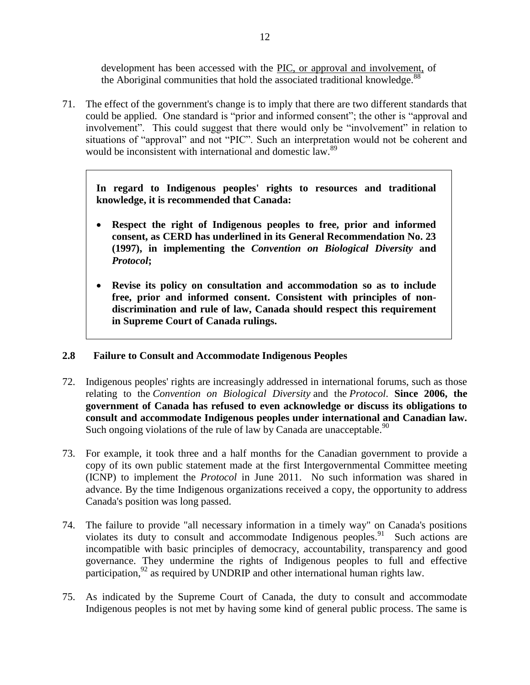development has been accessed with the PIC, or approval and involvement, of the Aboriginal communities that hold the associated traditional knowledge.<sup>88</sup>

71. The effect of the government's change is to imply that there are two different standards that could be applied. One standard is "prior and informed consent"; the other is "approval and involvement". This could suggest that there would only be "involvement" in relation to situations of "approval" and not "PIC". Such an interpretation would not be coherent and would be inconsistent with international and domestic law.<sup>89</sup>

**In regard to Indigenous peoples' rights to resources and traditional knowledge, it is recommended that Canada:**

- **Respect the right of Indigenous peoples to free, prior and informed consent, as CERD has underlined in its General Recommendation No. 23 (1997), in implementing the** *Convention on Biological Diversity* **and**  *Protocol***;**
- **Revise its policy on consultation and accommodation so as to include free, prior and informed consent. Consistent with principles of nondiscrimination and rule of law, Canada should respect this requirement in Supreme Court of Canada rulings.**

## <span id="page-14-0"></span>**2.8 Failure to Consult and Accommodate Indigenous Peoples**

- 72. Indigenous peoples' rights are increasingly addressed in international forums, such as those relating to the *Convention on Biological Diversity* and the *Protocol*. **Since 2006, the government of Canada has refused to even acknowledge or discuss its obligations to consult and accommodate Indigenous peoples under international and Canadian law.** Such ongoing violations of the rule of law by Canada are unacceptable.<sup>90</sup>
- 73. For example, it took three and a half months for the Canadian government to provide a copy of its own public statement made at the first Intergovernmental Committee meeting (ICNP) to implement the *Protocol* in June 2011. No such information was shared in advance. By the time Indigenous organizations received a copy, the opportunity to address Canada's position was long passed.
- 74. The failure to provide "all necessary information in a timely way" on Canada's positions violates its duty to consult and accommodate Indigenous peoples.<sup>91</sup> Such actions are incompatible with basic principles of democracy, accountability, transparency and good governance. They undermine the rights of Indigenous peoples to full and effective participation,  $92$  as required by UNDRIP and other international human rights law.
- 75. As indicated by the Supreme Court of Canada, the duty to consult and accommodate Indigenous peoples is not met by having some kind of general public process. The same is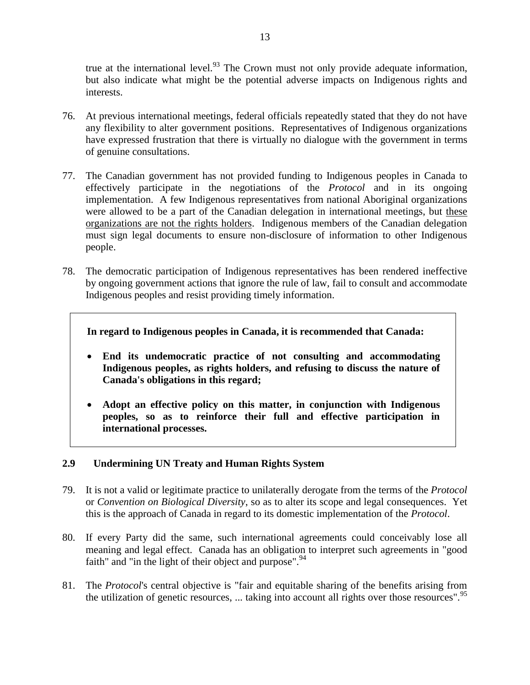true at the international level.<sup>93</sup> The Crown must not only provide adequate information, but also indicate what might be the potential adverse impacts on Indigenous rights and interests.

- 76. At previous international meetings, federal officials repeatedly stated that they do not have any flexibility to alter government positions. Representatives of Indigenous organizations have expressed frustration that there is virtually no dialogue with the government in terms of genuine consultations.
- 77. The Canadian government has not provided funding to Indigenous peoples in Canada to effectively participate in the negotiations of the *Protocol* and in its ongoing implementation. A few Indigenous representatives from national Aboriginal organizations were allowed to be a part of the Canadian delegation in international meetings, but these organizations are not the rights holders. Indigenous members of the Canadian delegation must sign legal documents to ensure non-disclosure of information to other Indigenous people.
- 78. The democratic participation of Indigenous representatives has been rendered ineffective by ongoing government actions that ignore the rule of law, fail to consult and accommodate Indigenous peoples and resist providing timely information.

**In regard to Indigenous peoples in Canada, it is recommended that Canada:**

- **End its undemocratic practice of not consulting and accommodating Indigenous peoples, as rights holders, and refusing to discuss the nature of Canada's obligations in this regard;**
- **Adopt an effective policy on this matter, in conjunction with Indigenous peoples, so as to reinforce their full and effective participation in international processes.**

## <span id="page-15-0"></span>**2.9 Undermining UN Treaty and Human Rights System**

- 79. It is not a valid or legitimate practice to unilaterally derogate from the terms of the *Protocol*  or *Convention on Biological Diversity*, so as to alter its scope and legal consequences. Yet this is the approach of Canada in regard to its domestic implementation of the *Protocol*.
- 80. If every Party did the same, such international agreements could conceivably lose all meaning and legal effect. Canada has an obligation to interpret such agreements in "good faith" and "in the light of their object and purpose".<sup>94</sup>
- 81. The *Protocol*'s central objective is "fair and equitable sharing of the benefits arising from the utilization of genetic resources, ... taking into account all rights over those resources".  $95$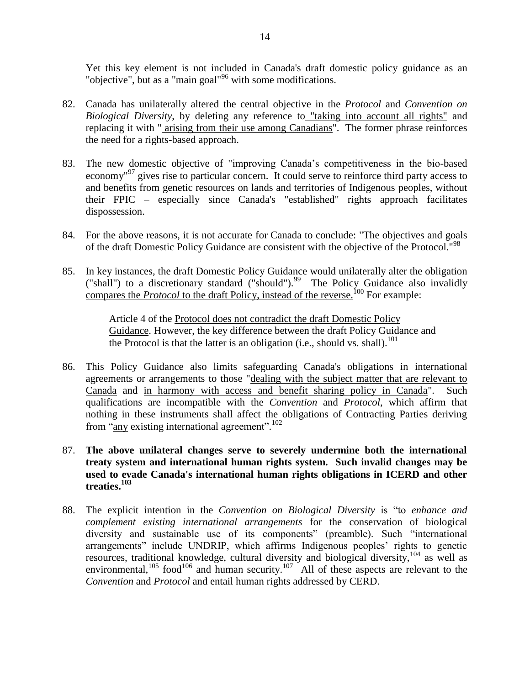<span id="page-16-0"></span>Yet this key element is not included in Canada's draft domestic policy guidance as an "objective", but as a "main goal"<sup>96</sup> with some modifications.

- 82. Canada has unilaterally altered the central objective in the *Protocol* and *Convention on Biological Diversity*, by deleting any reference to "taking into account all rights" and replacing it with " arising from their use among Canadians". The former phrase reinforces the need for a rights-based approach.
- 83. The new domestic objective of "improving Canada"s competitiveness in the bio-based economy<sup>"97</sup> gives rise to particular concern. It could serve to reinforce third party access to and benefits from genetic resources on lands and territories of Indigenous peoples, without their FPIC – especially since Canada's "established" rights approach facilitates dispossession.
- 84. For the above reasons, it is not accurate for Canada to conclude: "The objectives and goals of the draft Domestic Policy Guidance are consistent with the objective of the Protocol."<sup>98</sup>
- 85. In key instances, the draft Domestic Policy Guidance would unilaterally alter the obligation ("shall") to a discretionary standard ("should").<sup>99</sup> The Policy Guidance also invalidly compares the *Protocol* to the draft Policy, instead of the reverse.<sup>100</sup> For example:

Article 4 of the Protocol does not contradict the draft Domestic Policy Guidance. However, the key difference between the draft Policy Guidance and the Protocol is that the latter is an obligation (i.e., should vs. shall).<sup>101</sup>

- 86. This Policy Guidance also limits safeguarding Canada's obligations in international agreements or arrangements to those "dealing with the subject matter that are relevant to Canada and in harmony with access and benefit sharing policy in Canada". Such qualifications are incompatible with the *Convention* and *Protocol*, which affirm that nothing in these instruments shall affect the obligations of Contracting Parties deriving from "any existing international agreement".<sup>102</sup>
- 87. **The above unilateral changes serve to severely undermine both the international treaty system and international human rights system. Such invalid changes may be used to evade Canada's international human rights obligations in ICERD and other treaties.<sup>103</sup>**
- 88. The explicit intention in the *Convention on Biological Diversity* is "to *enhance and complement existing international arrangements* for the conservation of biological diversity and sustainable use of its components" (preamble). Such "international arrangements" include UNDRIP, which affirms Indigenous peoples' rights to genetic resources, traditional knowledge, cultural diversity and biological diversity,<sup>104</sup> as well as environmental,  $105$  food  $106$  and human security.  $107$  All of these aspects are relevant to the *Convention* and *Protocol* and entail human rights addressed by CERD.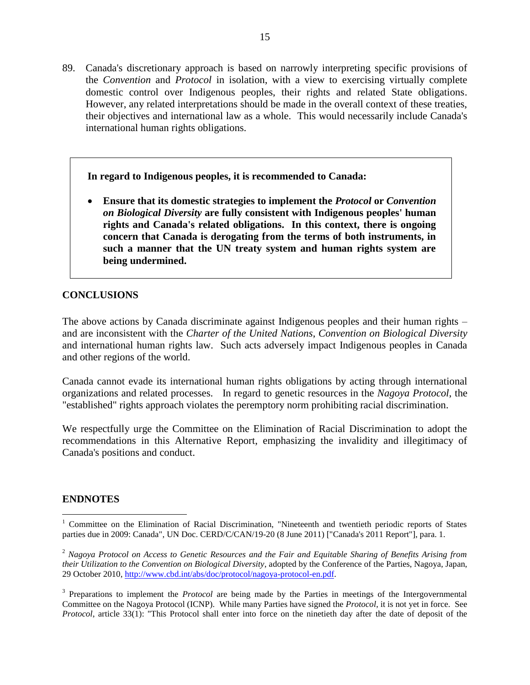89. Canada's discretionary approach is based on narrowly interpreting specific provisions of the *Convention* and *Protocol* in isolation, with a view to exercising virtually complete domestic control over Indigenous peoples, their rights and related State obligations. However, any related interpretations should be made in the overall context of these treaties, their objectives and international law as a whole. This would necessarily include Canada's international human rights obligations.

**In regard to Indigenous peoples, it is recommended to Canada:**

 **Ensure that its domestic strategies to implement the** *Protocol* **or** *Convention on Biological Diversity* **are fully consistent with Indigenous peoples' human rights and Canada's related obligations. In this context, there is ongoing concern that Canada is derogating from the terms of both instruments, in such a manner that the UN treaty system and human rights system are being undermined.**

## <span id="page-17-0"></span>**CONCLUSIONS**

The above actions by Canada discriminate against Indigenous peoples and their human rights – and are inconsistent with the *Charter of the United Nations*, *Convention on Biological Diversity* and international human rights law. Such acts adversely impact Indigenous peoples in Canada and other regions of the world.

Canada cannot evade its international human rights obligations by acting through international organizations and related processes. In regard to genetic resources in the *Nagoya Protocol*, the "established" rights approach violates the peremptory norm prohibiting racial discrimination.

We respectfully urge the Committee on the Elimination of Racial Discrimination to adopt the recommendations in this Alternative Report, emphasizing the invalidity and illegitimacy of Canada's positions and conduct.

## <span id="page-17-1"></span>**ENDNOTES**

 $\overline{a}$ 

<sup>&</sup>lt;sup>1</sup> Committee on the Elimination of Racial Discrimination, "Nineteenth and twentieth periodic reports of States parties due in 2009: Canada", UN Doc. CERD/C/CAN/19-20 (8 June 2011) ["Canada's 2011 Report"], para. 1.

<sup>2</sup> *Nagoya Protocol on Access to Genetic Resources and the Fair and Equitable Sharing of Benefits Arising from their Utilization to the Convention on Biological Diversity*, adopted by the Conference of the Parties, Nagoya, Japan, 29 October 2010, [http://www.cbd.int/abs/doc/protocol/nagoya-protocol-en.pdf.](http://www.cbd.int/abs/doc/protocol/nagoya-protocol-en.pdf)

<sup>&</sup>lt;sup>3</sup> Preparations to implement the *Protocol* are being made by the Parties in meetings of the Intergovernmental Committee on the Nagoya Protocol (ICNP). While many Parties have signed the *Protocol*, it is not yet in force. See *Protocol*, article 33(1): "This Protocol shall enter into force on the ninetieth day after the date of deposit of the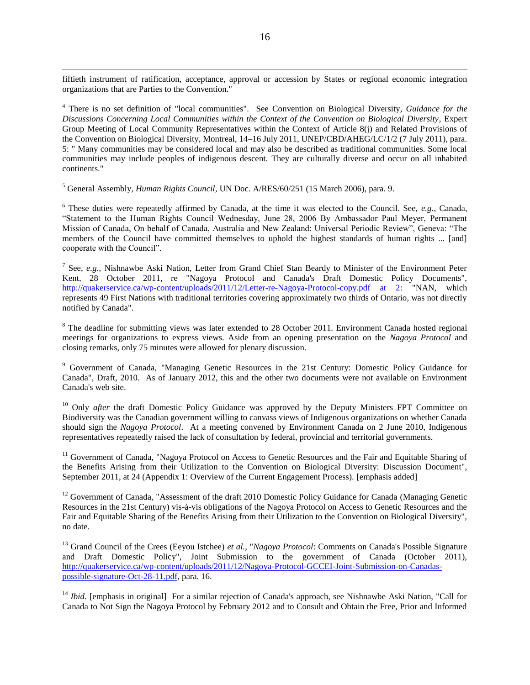fiftieth instrument of ratification, acceptance, approval or accession by States or regional economic integration organizations that are Parties to the Convention."

<sup>4</sup> There is no set definition of "local communities". See Convention on Biological Diversity, *Guidance for the Discussions Concerning Local Communities within the Context of the Convention on Biological Diversity*, Expert Group Meeting of Local Community Representatives within the Context of Article 8(j) and Related Provisions of the Convention on Biological Diversity, Montreal, 14–16 July 2011, UNEP/CBD/AHEG/LC/1/2 (7 July 2011), para. 5: " Many communities may be considered local and may also be described as traditional communities. Some local communities may include peoples of indigenous descent. They are culturally diverse and occur on all inhabited continents."

<sup>5</sup> General Assembly, *Human Rights Council*, UN Doc. A/RES/60/251 (15 March 2006), para. 9.

 $\overline{a}$ 

6 These duties were repeatedly affirmed by Canada, at the time it was elected to the Council. See, *e.g.*, Canada, "Statement to the Human Rights Council Wednesday, June 28, 2006 By Ambassador Paul Meyer, Permanent Mission of Canada, On behalf of Canada, Australia and New Zealand: Universal Periodic Review", Geneva: "The members of the Council have committed themselves to uphold the highest standards of human rights ... [and] cooperate with the Council".

7 See, *e.g.*, Nishnawbe Aski Nation, Letter from Grand Chief Stan Beardy to Minister of the Environment Peter Kent, 28 October 2011, re "Nagoya Protocol and Canada's Draft Domestic Policy Documents", [http://quakerservice.ca/wp-content/uploads/2011/12/Letter-re-Nagoya-Protocol-copy.pdf at 2:](http://quakerservice.ca/wp-content/uploads/2011/12/Letter-re-Nagoya-Protocol-copy.pdf%20at%202) "NAN, which represents 49 First Nations with traditional territories covering approximately two thirds of Ontario, was not directly notified by Canada".

<sup>8</sup> The deadline for submitting views was later extended to 28 October 2011. Environment Canada hosted regional meetings for organizations to express views. Aside from an opening presentation on the *Nagoya Protocol* and closing remarks, only 75 minutes were allowed for plenary discussion.

<sup>9</sup> Government of Canada, "Managing Genetic Resources in the 21st Century: Domestic Policy Guidance for Canada", Draft, 2010. As of January 2012, this and the other two documents were not available on Environment Canada's web site.

<sup>10</sup> Only *after* the draft Domestic Policy Guidance was approved by the Deputy Ministers FPT Committee on Biodiversity was the Canadian government willing to canvass views of Indigenous organizations on whether Canada should sign the *Nagoya Protocol*. At a meeting convened by Environment Canada on 2 June 2010, Indigenous representatives repeatedly raised the lack of consultation by federal, provincial and territorial governments.

<sup>11</sup> Government of Canada, "Nagoya Protocol on Access to Genetic Resources and the Fair and Equitable Sharing of the Benefits Arising from their Utilization to the Convention on Biological Diversity: Discussion Document", September 2011, at 24 (Appendix 1: Overview of the Current Engagement Process). [emphasis added]

<sup>12</sup> Government of Canada, "Assessment of the draft 2010 Domestic Policy Guidance for Canada (Managing Genetic Resources in the 21st Century) vis-à-vis obligations of the Nagoya Protocol on Access to Genetic Resources and the Fair and Equitable Sharing of the Benefits Arising from their Utilization to the Convention on Biological Diversity", no date.

<sup>13</sup> Grand Council of the Crees (Eeyou Istchee) *et al.*, "*Nagoya Protocol*: Comments on Canada's Possible Signature and Draft Domestic Policy", Joint Submission to the government of Canada (October 2011), [http://quakerservice.ca/wp-content/uploads/2011/12/Nagoya-Protocol-GCCEI-Joint-Submission-on-Canadas](http://quakerservice.ca/wp-content/uploads/2011/12/Nagoya-Protocol-GCCEI-Joint-Submission-on-Canadas-possible-signature-Oct-28-11.pdf)[possible-signature-Oct-28-11.pdf,](http://quakerservice.ca/wp-content/uploads/2011/12/Nagoya-Protocol-GCCEI-Joint-Submission-on-Canadas-possible-signature-Oct-28-11.pdf) para. 16.

<sup>14</sup> *Ibid.* [emphasis in original] For a similar rejection of Canada's approach, see Nishnawbe Aski Nation, "Call for Canada to Not Sign the Nagoya Protocol by February 2012 and to Consult and Obtain the Free, Prior and Informed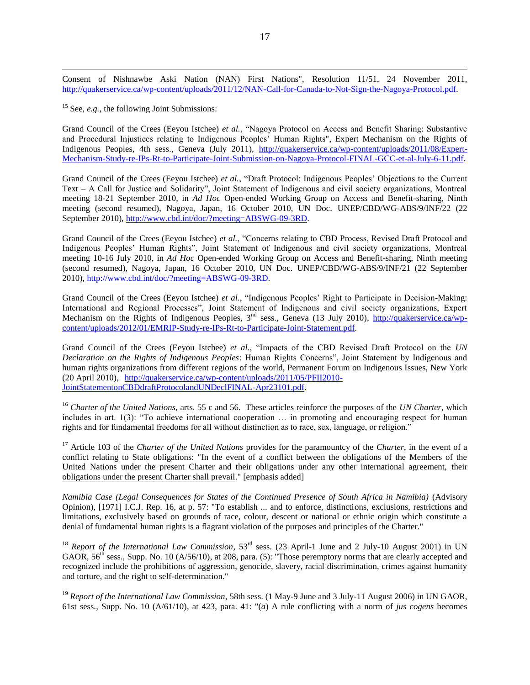Consent of Nishnawbe Aski Nation (NAN) First Nations", Resolution 11/51, 24 November 2011, [http://quakerservice.ca/wp-content/uploads/2011/12/NAN-Call-for-Canada-to-Not-Sign-the-Nagoya-Protocol.pdf.](http://quakerservice.ca/wp-content/uploads/2011/12/NAN-Call-for-Canada-to-Not-Sign-the-Nagoya-Protocol.pdf)

<sup>15</sup> See, *e.g.*, the following Joint Submissions:

 $\overline{a}$ 

Grand Council of the Crees (Eeyou Istchee) *et al.*, "Nagoya Protocol on Access and Benefit Sharing: Substantive and Procedural Injustices relating to Indigenous Peoples" Human Rights", Expert Mechanism on the Rights of Indigenous Peoples, 4th sess., Geneva (July 2011), [http://quakerservice.ca/wp-content/uploads/2011/08/Expert-](http://quakerservice.ca/wp-content/uploads/2011/08/Expert-Mechanism-Study-re-IPs-Rt-to-Participate-Joint-Submission-on-Nagoya-Protocol-FINAL-GCC-et-al-July-6-11.pdf)[Mechanism-Study-re-IPs-Rt-to-Participate-Joint-Submission-on-Nagoya-Protocol-FINAL-GCC-et-al-July-6-11.pdf.](http://quakerservice.ca/wp-content/uploads/2011/08/Expert-Mechanism-Study-re-IPs-Rt-to-Participate-Joint-Submission-on-Nagoya-Protocol-FINAL-GCC-et-al-July-6-11.pdf)

Grand Council of the Crees (Eeyou Istchee) *et al.*, "Draft Protocol: Indigenous Peoples" Objections to the Current Text – A Call for Justice and Solidarity", Joint Statement of Indigenous and civil society organizations, Montreal meeting 18-21 September 2010, in *Ad Hoc* Open-ended Working Group on Access and Benefit-sharing, Ninth meeting (second resumed), Nagoya, Japan, 16 October 2010, UN Doc. UNEP/CBD/WG-ABS/9/INF/22 (22 September 2010)[, http://www.cbd.int/doc/?meeting=ABSWG-09-3RD.](http://www.cbd.int/doc/?meeting=ABSWG-09-3RD)

Grand Council of the Crees (Eeyou Istchee) *et al.*, "Concerns relating to CBD Process, Revised Draft Protocol and Indigenous Peoples" Human Rights", Joint Statement of Indigenous and civil society organizations, Montreal meeting 10-16 July 2010, in *Ad Hoc* Open-ended Working Group on Access and Benefit-sharing, Ninth meeting (second resumed), Nagoya, Japan, 16 October 2010, UN Doc. UNEP/CBD/WG-ABS/9/INF/21 (22 September 2010), [http://www.cbd.int/doc/?meeting=ABSWG-09-3RD.](http://www.cbd.int/doc/?meeting=ABSWG-09-3RD)

Grand Council of the Crees (Eeyou Istchee) *et al.*, "Indigenous Peoples" Right to Participate in Decision-Making: International and Regional Processes", Joint Statement of Indigenous and civil society organizations, Expert Mechanism on the Rights of Indigenous Peoples, 3<sup>nd</sup> sess., Geneva (13 July 2010), [http://quakerservice.ca/wp](http://quakerservice.ca/wp-content/uploads/2012/01/EMRIP-Study-re-IPs-Rt-to-Participate-Joint-Statement.pdf)[content/uploads/2012/01/EMRIP-Study-re-IPs-Rt-to-Participate-Joint-Statement.pdf.](http://quakerservice.ca/wp-content/uploads/2012/01/EMRIP-Study-re-IPs-Rt-to-Participate-Joint-Statement.pdf)

Grand Council of the Crees (Eeyou Istchee) *et al.*, "Impacts of the CBD Revised Draft Protocol on the *UN Declaration on the Rights of Indigenous Peoples*: Human Rights Concerns", Joint Statement by Indigenous and human rights organizations from different regions of the world, Permanent Forum on Indigenous Issues, New York (20 April 2010), [http://quakerservice.ca/wp-content/uploads/2011/05/PFII2010-](http://quakerservice.ca/wp-content/uploads/2011/05/PFII2010-JointStatementonCBDdraftProtocolandUNDeclFINAL-Apr23101.pdf) [JointStatementonCBDdraftProtocolandUNDeclFINAL-Apr23101.pdf.](http://quakerservice.ca/wp-content/uploads/2011/05/PFII2010-JointStatementonCBDdraftProtocolandUNDeclFINAL-Apr23101.pdf)

<sup>16</sup> *Charter of the United Nations*, arts. 55 c and 56. These articles reinforce the purposes of the *UN Charter*, which includes in art. 1(3): "To achieve international cooperation … in promoting and encouraging respect for human rights and for fundamental freedoms for all without distinction as to race, sex, language, or religion."

<sup>17</sup> Article 103 of the *Charter of the United Nations* provides for the paramountcy of the *Charter*, in the event of a conflict relating to State obligations: "In the event of a conflict between the obligations of the Members of the United Nations under the present Charter and their obligations under any other international agreement, their obligations under the present Charter shall prevail." [emphasis added]

*Namibia Case (Legal Consequences for States of the Continued Presence of South Africa in Namibia)* (Advisory Opinion), [1971] I.C.J. Rep. 16, at p. 57: "To establish ... and to enforce, distinctions, exclusions, restrictions and limitations, exclusively based on grounds of race, colour, descent or national or ethnic origin which constitute a denial of fundamental human rights is a flagrant violation of the purposes and principles of the Charter."

<sup>18</sup> *Report of the International Law Commission*, 53<sup>rd</sup> sess. (23 April-1 June and 2 July-10 August 2001) in UN GAOR,  $56<sup>th</sup>$  sess., Supp. No. 10 (A/56/10), at 208, para. (5): "Those peremptory norms that are clearly accepted and recognized include the prohibitions of aggression, genocide, slavery, racial discrimination, crimes against humanity and torture, and the right to self-determination."

<sup>19</sup> *Report of the International Law Commission*, 58th sess. (1 May-9 June and 3 July-11 August 2006) in UN GAOR, 61st sess., Supp. No. 10 (A/61/10), at 423, para. 41: "(*a*) A rule conflicting with a norm of *jus cogens* becomes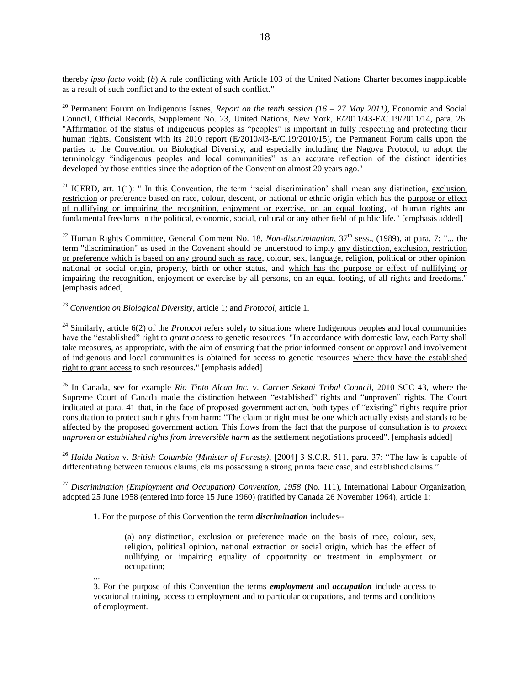thereby *ipso facto* void; (*b*) A rule conflicting with Article 103 of the United Nations Charter becomes inapplicable as a result of such conflict and to the extent of such conflict."

<sup>20</sup> Permanent Forum on Indigenous Issues, *Report on the tenth session (16 – 27 May 2011)*, Economic and Social Council, Official Records, Supplement No. 23, United Nations, New York, E/2011/43-E/C.19/2011/14, para. 26: "Affirmation of the status of indigenous peoples as "peoples" is important in fully respecting and protecting their human rights. Consistent with its 2010 report (E/2010/43-E/C.19/2010/15), the Permanent Forum calls upon the parties to the Convention on Biological Diversity, and especially including the Nagoya Protocol, to adopt the terminology "indigenous peoples and local communities" as an accurate reflection of the distinct identities developed by those entities since the adoption of the Convention almost 20 years ago."

<sup>21</sup> ICERD, art. 1(1): " In this Convention, the term 'racial discrimination' shall mean any distinction, exclusion, restriction or preference based on race, colour, descent, or national or ethnic origin which has the purpose or effect of nullifying or impairing the recognition, enjoyment or exercise, on an equal footing, of human rights and fundamental freedoms in the political, economic, social, cultural or any other field of public life." [emphasis added]

<sup>22</sup> Human Rights Committee, General Comment No. 18, *Non-discrimination*, 37<sup>th</sup> sess., (1989), at para. 7: "... the term "discrimination" as used in the Covenant should be understood to imply any distinction, exclusion, restriction or preference which is based on any ground such as race, colour, sex, language, religion, political or other opinion, national or social origin, property, birth or other status, and which has the purpose or effect of nullifying or impairing the recognition, enjoyment or exercise by all persons, on an equal footing, of all rights and freedoms." [emphasis added]

<sup>23</sup> *Convention on Biological Diversity*, article 1; and *Protocol*, article 1.

 $\overline{a}$ 

<sup>24</sup> Similarly, article 6(2) of the *Protocol* refers solely to situations where Indigenous peoples and local communities have the "established" right to *grant access* to genetic resources: "In accordance with domestic law, each Party shall take measures, as appropriate, with the aim of ensuring that the prior informed consent or approval and involvement of indigenous and local communities is obtained for access to genetic resources where they have the established right to grant access to such resources." [emphasis added]

<sup>25</sup> In Canada, see for example *Rio Tinto Alcan Inc.* v. *Carrier Sekani Tribal Council*, 2010 SCC 43, where the Supreme Court of Canada made the distinction between "established" rights and "unproven" rights. The Court indicated at para. 41 that, in the face of proposed government action, both types of "existing" rights require prior consultation to protect such rights from harm: "The claim or right must be one which actually exists and stands to be affected by the proposed government action. This flows from the fact that the purpose of consultation is to *protect unproven or established rights from irreversible harm* as the settlement negotiations proceed". [emphasis added]

<sup>26</sup> *Haida Nation* v. *British Columbia (Minister of Forests)*, [2004] 3 S.C.R. 511, para. 37: "The law is capable of differentiating between tenuous claims, claims possessing a strong prima facie case, and established claims."

<sup>27</sup> Discrimination (Employment and Occupation) Convention, 1958 (No. 111), International Labour Organization, adopted 25 June 1958 (entered into force 15 June 1960) (ratified by Canada 26 November 1964), article 1:

1. For the purpose of this Convention the term *discrimination* includes--

...

(a) any distinction, exclusion or preference made on the basis of race, colour, sex, religion, political opinion, national extraction or social origin, which has the effect of nullifying or impairing equality of opportunity or treatment in employment or occupation;

3. For the purpose of this Convention the terms *employment* and *occupation* include access to vocational training, access to employment and to particular occupations, and terms and conditions of employment.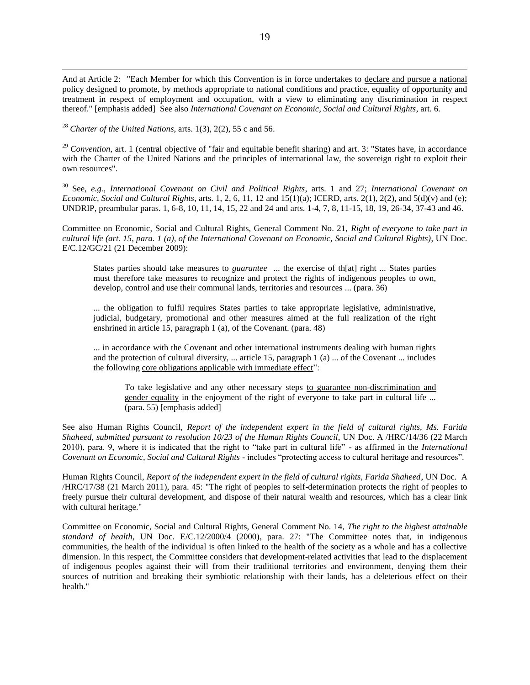And at Article 2: "Each Member for which this Convention is in force undertakes to declare and pursue a national policy designed to promote, by methods appropriate to national conditions and practice, equality of opportunity and treatment in respect of employment and occupation, with a view to eliminating any discrimination in respect thereof." [emphasis added] See also *International Covenant on Economic, Social and Cultural Rights*, art. 6.

<sup>28</sup> *Charter of the United Nations*, arts. 1(3), 2(2), 55 c and 56.

 $\overline{a}$ 

<sup>29</sup> *Convention*, art. 1 (central objective of "fair and equitable benefit sharing) and art. 3: "States have, in accordance with the Charter of the United Nations and the principles of international law, the sovereign right to exploit their own resources".

<sup>30</sup> See, *e.g.*, *International Covenant on Civil and Political Rights*, arts. 1 and 27; *International Covenant on Economic, Social and Cultural Rights*, arts. 1, 2, 6, 11, 12 and 15(1)(a); ICERD, arts. 2(1), 2(2), and 5(d)(v) and (e); UNDRIP, preambular paras. 1, 6-8, 10, 11, 14, 15, 22 and 24 and arts. 1-4, 7, 8, 11-15, 18, 19, 26-34, 37-43 and 46.

Committee on Economic, Social and Cultural Rights, General Comment No. 21, *Right of everyone to take part in cultural life (art. 15, para. 1 (a), of the International Covenant on Economic, Social and Cultural Rights)*, UN Doc. E/C.12/GC/21 (21 December 2009):

States parties should take measures to *guarantee* ... the exercise of th[at] right ... States parties must therefore take measures to recognize and protect the rights of indigenous peoples to own, develop, control and use their communal lands, territories and resources ... (para. 36)

... the obligation to fulfil requires States parties to take appropriate legislative, administrative, judicial, budgetary, promotional and other measures aimed at the full realization of the right enshrined in article 15, paragraph 1 (a), of the Covenant. (para. 48)

... in accordance with the Covenant and other international instruments dealing with human rights and the protection of cultural diversity, ... article 15, paragraph 1 (a) ... of the Covenant ... includes the following core obligations applicable with immediate effect":

To take legislative and any other necessary steps to guarantee non-discrimination and gender equality in the enjoyment of the right of everyone to take part in cultural life ... (para. 55) [emphasis added]

See also Human Rights Council, *Report of the independent expert in the field of cultural rights, Ms. Farida Shaheed, submitted pursuant to resolution 10/23 of the Human Rights Council*, UN Doc. A /HRC/14/36 (22 March 2010), para. 9, where it is indicated that the right to "take part in cultural life" - as affirmed in the *International Covenant on Economic, Social and Cultural Rights* - includes "protecting access to cultural heritage and resources".

Human Rights Council, *Report of the independent expert in the field of cultural rights, Farida Shaheed*, UN Doc. A /HRC/17/38 (21 March 2011), para. 45: "The right of peoples to self-determination protects the right of peoples to freely pursue their cultural development, and dispose of their natural wealth and resources, which has a clear link with cultural heritage."

Committee on Economic, Social and Cultural Rights, General Comment No. 14, *The right to the highest attainable standard of health*, UN Doc. E/C.12/2000/4 (2000), para. 27: "The Committee notes that, in indigenous communities, the health of the individual is often linked to the health of the society as a whole and has a collective dimension. In this respect, the Committee considers that development-related activities that lead to the displacement of indigenous peoples against their will from their traditional territories and environment, denying them their sources of nutrition and breaking their symbiotic relationship with their lands, has a deleterious effect on their health."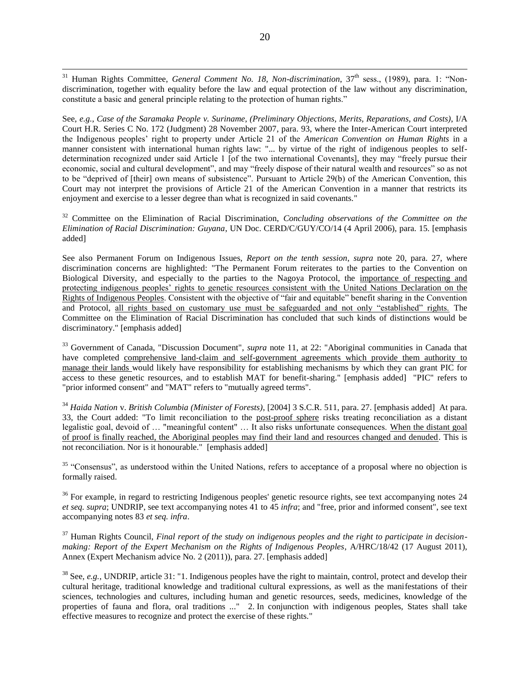<sup>31</sup> Human Rights Committee, *General Comment No. 18, Non-discrimination*, 37<sup>th</sup> sess., (1989), para. 1: "Nondiscrimination, together with equality before the law and equal protection of the law without any discrimination, constitute a basic and general principle relating to the protection of human rights."

 $\overline{a}$ 

See, *e.g.*, *Case of the Saramaka People v. Suriname*, *(Preliminary Objections, Merits, Reparations, and Costs)*, I/A Court H.R. Series C No. 172 (Judgment) 28 November 2007, para. 93, where the Inter-American Court interpreted the Indigenous peoples" right to property under Article 21 of the *American Convention on Human Rights* in a manner consistent with international human rights law: "... by virtue of the right of indigenous peoples to selfdetermination recognized under said Article 1 [of the two international Covenants], they may "freely pursue their economic, social and cultural development", and may "freely dispose of their natural wealth and resources" so as not to be "deprived of [their] own means of subsistence". Pursuant to Article 29(b) of the American Convention, this Court may not interpret the provisions of Article 21 of the American Convention in a manner that restricts its enjoyment and exercise to a lesser degree than what is recognized in said covenants."

<sup>32</sup> Committee on the Elimination of Racial Discrimination, *Concluding observations of the Committee on the Elimination of Racial Discrimination: Guyana*, UN Doc. CERD/C/GUY/CO/14 (4 April 2006), para. 15. [emphasis added]

See also Permanent Forum on Indigenous Issues, *Report on the tenth session*, *supra* note [20,](#page-4-2) para. 27, where discrimination concerns are highlighted: "The Permanent Forum reiterates to the parties to the Convention on Biological Diversity, and especially to the parties to the Nagoya Protocol, the importance of respecting and protecting indigenous peoples" rights to genetic resources consistent with the United Nations Declaration on the Rights of Indigenous Peoples. Consistent with the objective of "fair and equitable" benefit sharing in the Convention and Protocol, all rights based on customary use must be safeguarded and not only "established" rights. The Committee on the Elimination of Racial Discrimination has concluded that such kinds of distinctions would be discriminatory." [emphasis added]

<sup>33</sup> Government of Canada, "Discussion Document", *supra* note [11,](#page-3-1) at 22: "Aboriginal communities in Canada that have completed comprehensive land-claim and self-government agreements which provide them authority to manage their lands would likely have responsibility for establishing mechanisms by which they can grant PIC for access to these genetic resources, and to establish MAT for benefit-sharing." [emphasis added] "PIC" refers to "prior informed consent" and "MAT" refers to "mutually agreed terms".

<sup>34</sup> *Haida Nation* v. *British Columbia (Minister of Forests)*, [2004] 3 S.C.R. 511, para. 27. [emphasis added] At para. 33, the Court added: "To limit reconciliation to the post-proof sphere risks treating reconciliation as a distant legalistic goal, devoid of … "meaningful content" … It also risks unfortunate consequences. When the distant goal of proof is finally reached, the Aboriginal peoples may find their land and resources changed and denuded. This is not reconciliation. Nor is it honourable." [emphasis added]

<sup>35</sup> "Consensus", as understood within the United Nations, refers to acceptance of a proposal where no objection is formally raised.

<sup>36</sup> For example, in regard to restricting Indigenous peoples' genetic resource rights, see text accompanying notes [24](#page-5-1) *et seq. supra*; UNDRIP, see text accompanying notes [41](#page-8-1) to [45](#page-8-2) *infra*; and "free, prior and informed consent", see text accompanying notes [83](#page-13-0) *et seq. infra*.

<sup>37</sup> Human Rights Council, *Final report of the study on indigenous peoples and the right to participate in decisionmaking: Report of the Expert Mechanism on the Rights of Indigenous Peoples*, A/HRC/18/42 (17 August 2011), Annex (Expert Mechanism advice No. 2 (2011)), para. 27. [emphasis added]

<sup>38</sup> See, *e.g.*, UNDRIP, article 31: "1. Indigenous peoples have the right to maintain, control, protect and develop their cultural heritage, traditional knowledge and traditional cultural expressions, as well as the manifestations of their sciences, technologies and cultures, including human and genetic resources, seeds, medicines, knowledge of the properties of fauna and flora, oral traditions ..." 2. In conjunction with indigenous peoples, States shall take effective measures to recognize and protect the exercise of these rights."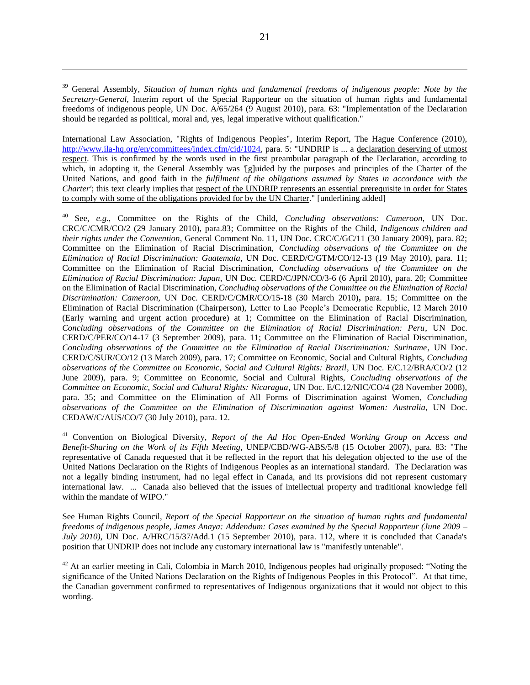<sup>39</sup> General Assembly, *Situation of human rights and fundamental freedoms of indigenous people: Note by the Secretary-General*, Interim report of the Special Rapporteur on the situation of human rights and fundamental freedoms of indigenous people, UN Doc. A/65/264 (9 August 2010), para. 63: "Implementation of the Declaration should be regarded as political, moral and, yes, legal imperative without qualification."

International Law Association, "Rights of Indigenous Peoples", Interim Report, The Hague Conference (2010), [http://www.ila-hq.org/en/committees/index.cfm/cid/1024,](http://www.ila-hq.org/en/committees/index.cfm/cid/1024) para. 5: "UNDRIP is ... a declaration deserving of utmost respect. This is confirmed by the words used in the first preambular paragraph of the Declaration, according to which, in adopting it, the General Assembly was '[g]uided by the purposes and principles of the Charter of the United Nations, and good faith in the *fulfilment of the obligations assumed by States in accordance with the Charter'*; this text clearly implies that respect of the UNDRIP represents an essential prerequisite in order for States to comply with some of the obligations provided for by the UN Charter." [underlining added]

<sup>40</sup> See, *e.g.*, Committee on the Rights of the Child, *Concluding observations: Cameroon*, UN Doc. CRC/C/CMR/CO/2 (29 January 2010), para.83; Committee on the Rights of the Child, *Indigenous children and their rights under the Convention*, General Comment No. 11, UN Doc. CRC/C/GC/11 (30 January 2009), para. 82; Committee on the Elimination of Racial Discrimination, *Concluding observations of the Committee on the Elimination of Racial Discrimination: Guatemala*, UN Doc. CERD/C/GTM/CO/12-13 (19 May 2010), para. 11; Committee on the Elimination of Racial Discrimination, *Concluding observations of the Committee on the Elimination of Racial Discrimination: Japan*, UN Doc. CERD/C/JPN/CO/3-6 (6 April 2010), para. 20; Committee on the Elimination of Racial Discrimination, *Concluding observations of the Committee on the Elimination of Racial Discrimination: Cameroon,* UN Doc. CERD/C/CMR/CO/15-18 (30 March 2010)**,** para. 15; Committee on the Elimination of Racial Discrimination (Chairperson), Letter to Lao People"s Democratic Republic, 12 March 2010 (Early warning and urgent action procedure) at 1; Committee on the Elimination of Racial Discrimination, *Concluding observations of the Committee on the Elimination of Racial Discrimination: Peru*, UN Doc. CERD/C/PER/CO/14-17 (3 September 2009), para. 11; Committee on the Elimination of Racial Discrimination, *Concluding observations of the Committee on the Elimination of Racial Discrimination: Suriname*, UN Doc. CERD/C/SUR/CO/12 (13 March 2009), para. 17; Committee on Economic, Social and Cultural Rights, *Concluding observations of the Committee on Economic, Social and Cultural Rights: Brazil*, UN Doc. E/C.12/BRA/CO/2 (12 June 2009), para. 9; Committee on Economic, Social and Cultural Rights, *Concluding observations of the Committee on Economic, Social and Cultural Rights: Nicaragua*, UN Doc. E/C.12/NIC/CO/4 (28 November 2008), para. 35; and Committee on the Elimination of All Forms of Discrimination against Women, *Concluding observations of the Committee on the Elimination of Discrimination against Women: Australia*, UN Doc. CEDAW/C/AUS/CO/7 (30 July 2010), para. 12.

<sup>41</sup> Convention on Biological Diversity, *Report of the Ad Hoc Open-Ended Working Group on Access and Benefit-Sharing on the Work of its Fifth Meeting*, UNEP/CBD/WG-ABS/5/8 (15 October 2007), para. 83: "The representative of Canada requested that it be reflected in the report that his delegation objected to the use of the United Nations Declaration on the Rights of Indigenous Peoples as an international standard. The Declaration was not a legally binding instrument, had no legal effect in Canada, and its provisions did not represent customary international law. ... Canada also believed that the issues of intellectual property and traditional knowledge fell within the mandate of WIPO."

See Human Rights Council, *Report of the Special Rapporteur on the situation of human rights and fundamental freedoms of indigenous people, James Anaya: Addendum: Cases examined by the Special Rapporteur (June 2009 – July 2010)*, UN Doc. A/HRC/15/37/Add.1 (15 September 2010), para. 112, where it is concluded that Canada's position that UNDRIP does not include any customary international law is "manifestly untenable".

 $42$  At an earlier meeting in Cali, Colombia in March 2010, Indigenous peoples had originally proposed: "Noting the significance of the United Nations Declaration on the Rights of Indigenous Peoples in this Protocol". At that time, the Canadian government confirmed to representatives of Indigenous organizations that it would not object to this wording.

 $\overline{a}$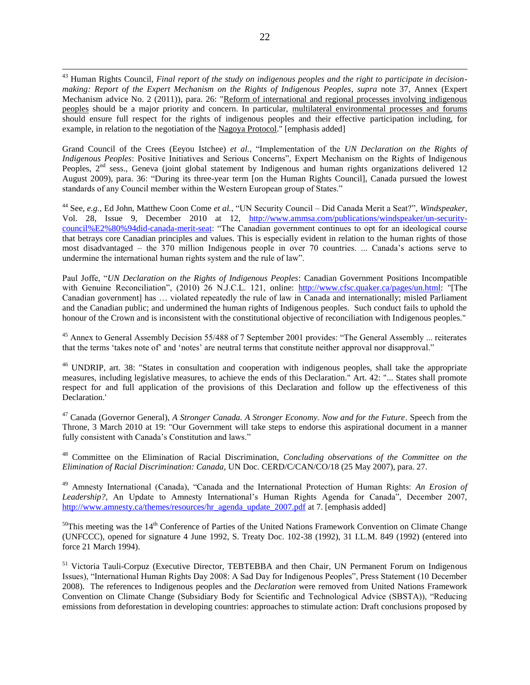<sup>43</sup> Human Rights Council, *Final report of the study on indigenous peoples and the right to participate in decisionmaking: Report of the Expert Mechanism on the Rights of Indigenous Peoples*, *supra* note [37,](#page-7-1) Annex (Expert Mechanism advice No. 2 (2011)), para. 26: "Reform of international and regional processes involving indigenous peoples should be a major priority and concern. In particular, multilateral environmental processes and forums should ensure full respect for the rights of indigenous peoples and their effective participation including, for example, in relation to the negotiation of the Nagoya Protocol." [emphasis added]

Grand Council of the Crees (Eeyou Istchee) *et al.*, "Implementation of the *UN Declaration on the Rights of Indigenous Peoples*: Positive Initiatives and Serious Concerns", Expert Mechanism on the Rights of Indigenous Peoples,  $2<sup>nd</sup>$  sess., Geneva (joint global statement by Indigenous and human rights organizations delivered 12 August 2009), para. 36: "During its three-year term [on the Human Rights Council], Canada pursued the lowest standards of any Council member within the Western European group of States."

<sup>44</sup> See, *e.g.*, Ed John, Matthew Coon Come *et al.*, "UN Security Council – Did Canada Merit a Seat?", *Windspeaker*, Vol. 28, Issue 9, December 2010 at 12, [http://www.ammsa.com/publications/windspeaker/un-security](http://www.ammsa.com/publications/windspeaker/un-security-council%E2%80%94did-canada-merit-seat)[council%E2%80%94did-canada-merit-seat:](http://www.ammsa.com/publications/windspeaker/un-security-council%E2%80%94did-canada-merit-seat) "The Canadian government continues to opt for an ideological course that betrays core Canadian principles and values. This is especially evident in relation to the human rights of those most disadvantaged – the 370 million Indigenous people in over 70 countries. ... Canada"s actions serve to undermine the international human rights system and the rule of law".

Paul Joffe, "*UN Declaration on the Rights of Indigenous Peoples*: Canadian Government Positions Incompatible with Genuine Reconciliation", (2010) 26 N.J.C.L. 121, online: [http://www.cfsc.quaker.ca/pages/un.html:](http://www.cfsc.quaker.ca/pages/un.html) "[The Canadian government] has … violated repeatedly the rule of law in Canada and internationally; misled Parliament and the Canadian public; and undermined the human rights of Indigenous peoples. Such conduct fails to uphold the honour of the Crown and is inconsistent with the constitutional objective of reconciliation with Indigenous peoples."

<sup>45</sup> Annex to General Assembly Decision 55/488 of 7 September 2001 provides: "The General Assembly ... reiterates that the terms 'takes note of' and 'notes' are neutral terms that constitute neither approval nor disapproval."

<sup>46</sup> UNDRIP, art. 38: "States in consultation and cooperation with indigenous peoples, shall take the appropriate measures, including legislative measures, to achieve the ends of this Declaration." Art. 42: "... States shall promote respect for and full application of the provisions of this Declaration and follow up the effectiveness of this Declaration.'

<sup>47</sup> Canada (Governor General), *A Stronger Canada. A Stronger Economy. Now and for the Future*. Speech from the Throne, 3 March 2010 at 19: "Our Government will take steps to endorse this aspirational document in a manner fully consistent with Canada's Constitution and laws."

<sup>48</sup> Committee on the Elimination of Racial Discrimination, *Concluding observations of the Committee on the Elimination of Racial Discrimination: Canada,* UN Doc. CERD/C/CAN/CO/18 (25 May 2007), para. 27.

<sup>49</sup> Amnesty International (Canada), "Canada and the International Protection of Human Rights: *An Erosion of*  Leadership?, An Update to Amnesty International's Human Rights Agenda for Canada", December 2007, [http://www.amnesty.ca/themes/resources/hr\\_agenda\\_update\\_2007.pdf](http://www.amnesty.ca/themes/resources/hr_agenda_update_2007.pdf) at 7. [emphasis added]

 $50$ This meeting was the 14<sup>th</sup> Conference of Parties of the United Nations Framework Convention on Climate Change (UNFCCC), opened for signature 4 June 1992, S. Treaty Doc. 102-38 (1992), 31 I.L.M. 849 (1992) (entered into force 21 March 1994).

<sup>51</sup> Victoria Tauli-Corpuz (Executive Director, TEBTEBBA and then Chair, UN Permanent Forum on Indigenous Issues), "International Human Rights Day 2008: A Sad Day for Indigenous Peoples", Press Statement (10 December 2008). The references to Indigenous peoples and the *Declaration* were removed from United Nations Framework Convention on Climate Change (Subsidiary Body for Scientific and Technological Advice (SBSTA)), "Reducing emissions from deforestation in developing countries: approaches to stimulate action: Draft conclusions proposed by

 $\overline{a}$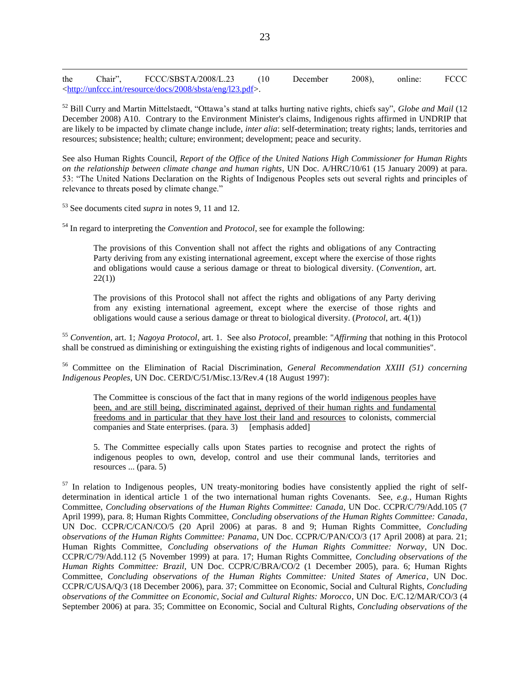$\overline{a}$ the Chair", FCCC/SBSTA/2008/L.23 (10 December 2008), online: FCCC [<http://unfccc.int/resource/docs/2008/sbsta/eng/l23.pdf>](http://unfccc.int/resource/docs/2008/sbsta/eng/l23.pdf).

<sup>52</sup> Bill Curry and Martin Mittelstaedt, "Ottawa"s stand at talks hurting native rights, chiefs say", *Globe and Mail* (12 December 2008) A10. Contrary to the Environment Minister's claims, Indigenous rights affirmed in UNDRIP that are likely to be impacted by climate change include, *inter alia*: self-determination; treaty rights; lands, territories and resources; subsistence; health; culture; environment; development; peace and security.

See also Human Rights Council, *Report of the Office of the United Nations High Commissioner for Human Rights on the relationship between climate change and human rights*, UN Doc. A/HRC/10/61 (15 January 2009) at para. 53: "The United Nations Declaration on the Rights of Indigenous Peoples sets out several rights and principles of relevance to threats posed by climate change."

<sup>53</sup> See documents cited *supra* in notes [9,](#page-3-2) [11](#page-3-1) and [12.](#page-3-3)

<sup>54</sup> In regard to interpreting the *Convention* and *Protocol*, see for example the following:

The provisions of this Convention shall not affect the rights and obligations of any Contracting Party deriving from any existing international agreement, except where the exercise of those rights and obligations would cause a serious damage or threat to biological diversity. (*Convention*, art. 22(1))

The provisions of this Protocol shall not affect the rights and obligations of any Party deriving from any existing international agreement, except where the exercise of those rights and obligations would cause a serious damage or threat to biological diversity. (*Protocol*, art. 4(1))

<sup>55</sup> *Convention*, art. 1; *Nagoya Protocol*, art. 1. See also *Protocol*, preamble: "*Affirming* that nothing in this Protocol shall be construed as diminishing or extinguishing the existing rights of indigenous and local communities".

<sup>56</sup> Committee on the Elimination of Racial Discrimination, *General Recommendation XXIII (51) concerning Indigenous Peoples*, UN Doc. CERD/C/51/Misc.13/Rev.4 (18 August 1997):

The Committee is conscious of the fact that in many regions of the world indigenous peoples have been, and are still being, discriminated against, deprived of their human rights and fundamental freedoms and in particular that they have lost their land and resources to colonists, commercial companies and State enterprises. (para. 3) [emphasis added]

5. The Committee especially calls upon States parties to recognise and protect the rights of indigenous peoples to own, develop, control and use their communal lands, territories and resources ... (para. 5)

<sup>57</sup> In relation to Indigenous peoples, UN treaty-monitoring bodies have consistently applied the right of selfdetermination in identical article 1 of the two international human rights Covenants. See, *e.g.*, Human Rights Committee, *Concluding observations of the Human Rights Committee: Canada*, UN Doc. CCPR/C/79/Add.105 (7 April 1999), para. 8; Human Rights Committee, *Concluding observations of the Human Rights Committee: Canada*, UN Doc. CCPR/C/CAN/CO/5 (20 April 2006) at paras. 8 and 9; Human Rights Committee, *Concluding observations of the Human Rights Committee: Panama*, UN Doc. CCPR/C/PAN/CO/3 (17 April 2008) at para. 21; Human Rights Committee, *Concluding observations of the Human Rights Committee: Norway*, UN Doc. CCPR/C/79/Add.112 (5 November 1999) at para. 17; Human Rights Committee, *Concluding observations of the Human Rights Committee: Brazil*, UN Doc. CCPR/C/BRA/CO/2 (1 December 2005), para. 6; Human Rights Committee, *Concluding observations of the Human Rights Committee: United States of America*, UN Doc. CCPR/C/USA/Q/3 (18 December 2006), para. 37; Committee on Economic, Social and Cultural Rights, *Concluding observations of the Committee on Economic, Social and Cultural Rights: Morocco*, UN Doc. E/C.12/MAR/CO/3 (4 September 2006) at para. 35; Committee on Economic, Social and Cultural Rights, *Concluding observations of the*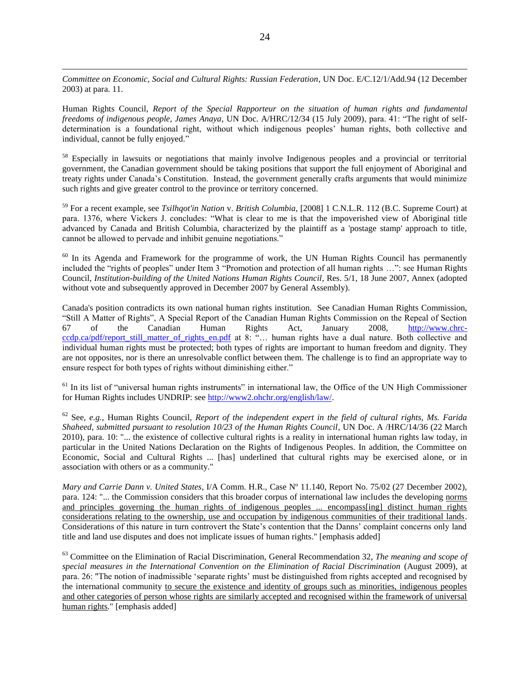*Committee on Economic, Social and Cultural Rights: Russian Federation*, UN Doc. E/C.12/1/Add.94 (12 December 2003) at para. 11.

 $\overline{a}$ 

Human Rights Council, *Report of the Special Rapporteur on the situation of human rights and fundamental freedoms of indigenous people, James Anaya*, UN Doc. A/HRC/12/34 (15 July 2009), para. 41: "The right of selfdetermination is a foundational right, without which indigenous peoples" human rights, both collective and individual, cannot be fully enjoyed."

<sup>58</sup> Especially in lawsuits or negotiations that mainly involve Indigenous peoples and a provincial or territorial government, the Canadian government should be taking positions that support the full enjoyment of Aboriginal and treaty rights under Canada"s Constitution. Instead, the government generally crafts arguments that would minimize such rights and give greater control to the province or territory concerned.

<sup>59</sup> For a recent example, see *Tsilhqot'in Nation* v. *British Columbia*, [2008] 1 C.N.L.R. 112 (B.C. Supreme Court) at para. 1376, where Vickers J. concludes: "What is clear to me is that the impoverished view of Aboriginal title advanced by Canada and British Columbia, characterized by the plaintiff as a 'postage stamp' approach to title, cannot be allowed to pervade and inhibit genuine negotiations."

<sup>60</sup> In its Agenda and Framework for the programme of work, the UN Human Rights Council has permanently included the "rights of peoples" under Item 3 "Promotion and protection of all human rights …": see Human Rights Council, *Institution-building of the United Nations Human Rights Council*, Res. 5/1, 18 June 2007, Annex (adopted without vote and subsequently approved in December 2007 by General Assembly).

Canada's position contradicts its own national human rights institution. See Canadian Human Rights Commission, "Still A Matter of Rights", A Special Report of the Canadian Human Rights Commission on the Repeal of Section 67 of the Canadian Human Rights Act, January 2008, [http://www.chrc](http://www.chrc-ccdp.ca/pdf/report_still_matter_of_rights_en.pdf)[ccdp.ca/pdf/report\\_still\\_matter\\_of\\_rights\\_en.pdf](http://www.chrc-ccdp.ca/pdf/report_still_matter_of_rights_en.pdf) at 8: "... human rights have a dual nature. Both collective and individual human rights must be protected; both types of rights are important to human freedom and dignity. They are not opposites, nor is there an unresolvable conflict between them. The challenge is to find an appropriate way to ensure respect for both types of rights without diminishing either."

 $<sup>61</sup>$  In its list of "universal human rights instruments" in international law, the Office of the UN High Commissioner</sup> for Human Rights includes UNDRIP: see [http://www2.ohchr.org/english/law/.](http://www2.ohchr.org/english/law/)

<sup>62</sup> See, *e.g.*, Human Rights Council, *Report of the independent expert in the field of cultural rights, Ms. Farida Shaheed, submitted pursuant to resolution 10/23 of the Human Rights Council*, UN Doc. A /HRC/14/36 (22 March 2010), para. 10: "... the existence of collective cultural rights is a reality in international human rights law today, in particular in the United Nations Declaration on the Rights of Indigenous Peoples. In addition, the Committee on Economic, Social and Cultural Rights ... [has] underlined that cultural rights may be exercised alone, or in association with others or as a community."

*Mary and Carrie Dann v. United States*, I/A Comm. H.R., Case Nº 11.140, Report No. 75/02 (27 December 2002), para. 124: "... the Commission considers that this broader corpus of international law includes the developing norms and principles governing the human rights of indigenous peoples ... encompass[ing] distinct human rights considerations relating to the ownership, use and occupation by indigenous communities of their traditional lands. Considerations of this nature in turn controvert the State"s contention that the Danns" complaint concerns only land title and land use disputes and does not implicate issues of human rights." [emphasis added]

<sup>63</sup> Committee on the Elimination of Racial Discrimination, General Recommendation 32, *The meaning and scope of special measures in the International Convention on the Elimination of Racial Discrimination* (August 2009), at para. 26: "The notion of inadmissible "separate rights" must be distinguished from rights accepted and recognised by the international community to secure the existence and identity of groups such as minorities, indigenous peoples and other categories of person whose rights are similarly accepted and recognised within the framework of universal human rights." [emphasis added]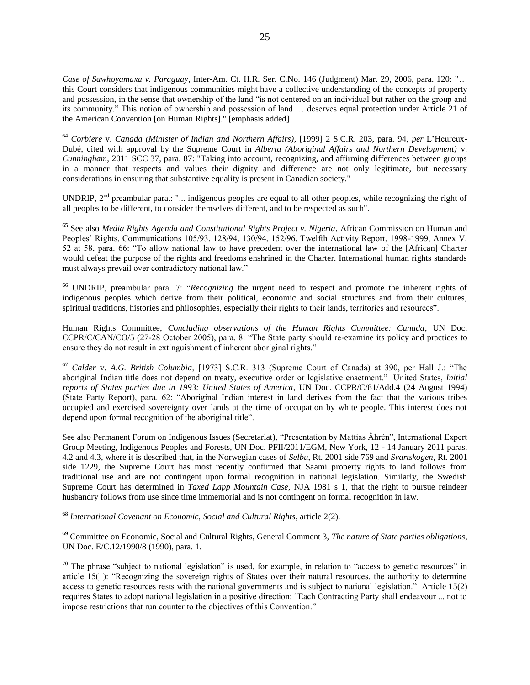*Case of Sawhoyamaxa v. Paraguay*, Inter-Am. Ct. H.R. Ser. C.No. 146 (Judgment) Mar. 29, 2006, para. 120: "… this Court considers that indigenous communities might have a collective understanding of the concepts of property and possession, in the sense that ownership of the land "is not centered on an individual but rather on the group and its community." This notion of ownership and possession of land … deserves equal protection under Article 21 of the American Convention [on Human Rights]." [emphasis added]

 $\overline{a}$ 

<sup>64</sup> *Corbiere* v. *Canada (Minister of Indian and Northern Affairs)*, [1999] 2 S.C.R. 203, para. 94, *per* L"Heureux-Dubé, cited with approval by the Supreme Court in *Alberta (Aboriginal Affairs and Northern Development)* v. *Cunningham*, 2011 SCC 37, para. 87: "Taking into account, recognizing, and affirming differences between groups in a manner that respects and values their dignity and difference are not only legitimate, but necessary considerations in ensuring that substantive equality is present in Canadian society."

UNDRIP,  $2<sup>nd</sup>$  preambular para.: "... indigenous peoples are equal to all other peoples, while recognizing the right of all peoples to be different, to consider themselves different, and to be respected as such".

<sup>65</sup> See also *Media Rights Agenda and Constitutional Rights Project v. Nigeria*, African Commission on Human and Peoples" Rights, Communications 105/93, 128/94, 130/94, 152/96, Twelfth Activity Report, 1998-1999, Annex V, 52 at 58, para. 66: "To allow national law to have precedent over the international law of the [African] Charter would defeat the purpose of the rights and freedoms enshrined in the Charter. International human rights standards must always prevail over contradictory national law."

<sup>66</sup> UNDRIP, preambular para. 7: "*Recognizing* the urgent need to respect and promote the inherent rights of indigenous peoples which derive from their political, economic and social structures and from their cultures, spiritual traditions, histories and philosophies, especially their rights to their lands, territories and resources".

Human Rights Committee, *Concluding observations of the Human Rights Committee: Canada*, UN Doc. CCPR/C/CAN/CO/5 (27-28 October 2005), para. 8: "The State party should re-examine its policy and practices to ensure they do not result in extinguishment of inherent aboriginal rights."

<sup>67</sup> *Calder* v. *A.G. British Columbia*, [1973] S.C.R. 313 (Supreme Court of Canada) at 390, per Hall J.: "The aboriginal Indian title does not depend on treaty, executive order or legislative enactment." United States, *Initial reports of States parties due in 1993: United States of America*, UN Doc. CCPR/C/81/Add.4 (24 August 1994) (State Party Report), para. 62: "Aboriginal Indian interest in land derives from the fact that the various tribes occupied and exercised sovereignty over lands at the time of occupation by white people. This interest does not depend upon formal recognition of the aboriginal title".

See also Permanent Forum on Indigenous Issues (Secretariat), "Presentation by Mattias Åhrén", International Expert Group Meeting, Indigenous Peoples and Forests, UN Doc. PFII/2011/EGM, New York, 12 - 14 January 2011 paras. 4.2 and 4.3, where it is described that, in the Norwegian cases of *Selbu*, Rt. 2001 side 769 and *Svartskogen*, Rt. 2001 side 1229, the Supreme Court has most recently confirmed that Saami property rights to land follows from traditional use and are not contingent upon formal recognition in national legislation. Similarly, the Swedish Supreme Court has determined in *Taxed Lapp Mountain Case*, NJA 1981 s 1, that the right to pursue reindeer husbandry follows from use since time immemorial and is not contingent on formal recognition in law.

<sup>68</sup> *International Covenant on Economic, Social and Cultural Rights*, article 2(2).

<sup>69</sup> Committee on Economic, Social and Cultural Rights, General Comment 3, *The nature of State parties obligations*, UN Doc. E/C.12/1990/8 (1990), para. 1.

 $70$  The phrase "subject to national legislation" is used, for example, in relation to "access to genetic resources" in article 15(1): "Recognizing the sovereign rights of States over their natural resources, the authority to determine access to genetic resources rests with the national governments and is subject to national legislation." Article 15(2) requires States to adopt national legislation in a positive direction: "Each Contracting Party shall endeavour ... not to impose restrictions that run counter to the objectives of this Convention."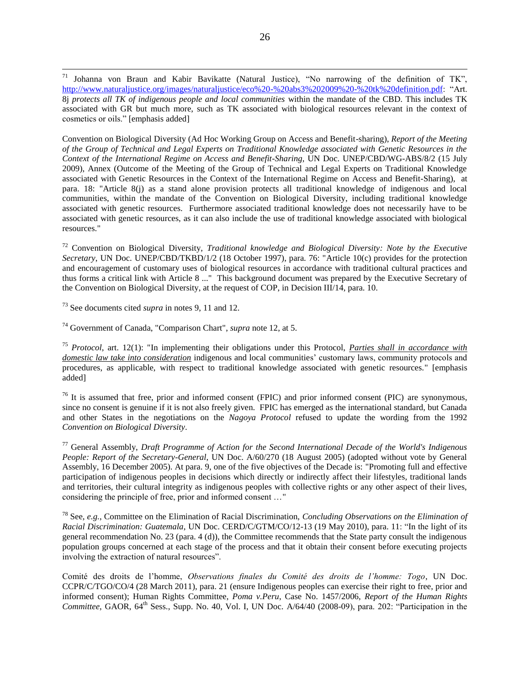Convention on Biological Diversity (Ad Hoc Working Group on Access and Benefit-sharing), *Report of the Meeting of the Group of Technical and Legal Experts on Traditional Knowledge associated with Genetic Resources in the Context of the International Regime on Access and Benefit-Sharing*, UN Doc. UNEP/CBD/WG-ABS/8/2 (15 July 2009), Annex (Outcome of the Meeting of the Group of Technical and Legal Experts on Traditional Knowledge associated with Genetic Resources in the Context of the International Regime on Access and Benefit-Sharing), at para. 18: "Article 8(j) as a stand alone provision protects all traditional knowledge of indigenous and local communities, within the mandate of the Convention on Biological Diversity, including traditional knowledge associated with genetic resources. Furthermore associated traditional knowledge does not necessarily have to be associated with genetic resources, as it can also include the use of traditional knowledge associated with biological resources."

<sup>72</sup> Convention on Biological Diversity, *Traditional knowledge and Biological Diversity: Note by the Executive Secretary*, UN Doc. UNEP/CBD/TKBD/1/2 (18 October 1997), para. 76: "Article 10(c) provides for the protection and encouragement of customary uses of biological resources in accordance with traditional cultural practices and thus forms a critical link with Article 8 ..." This background document was prepared by the Executive Secretary of the Convention on Biological Diversity, at the request of COP, in Decision III/14, para. 10.

<sup>73</sup> See documents cited *supra* in notes [9,](#page-3-2) [11](#page-3-1) and [12.](#page-3-3)

<sup>74</sup> Government of Canada, "Comparison Chart", *supra* note [12,](#page-3-3) at 5.

<sup>75</sup> *Protocol*, art. 12(1): "In implementing their obligations under this Protocol, *Parties shall in accordance with domestic law take into consideration* indigenous and local communities' customary laws, community protocols and procedures, as applicable, with respect to traditional knowledge associated with genetic resources." [emphasis added]

 $76$  It is assumed that free, prior and informed consent (FPIC) and prior informed consent (PIC) are synonymous, since no consent is genuine if it is not also freely given. FPIC has emerged as the international standard, but Canada and other States in the negotiations on the *Nagoya Protocol* refused to update the wording from the 1992 *Convention on Biological Diversity*.

<sup>77</sup> General Assembly, *Draft Programme of Action for the Second International Decade of the World's Indigenous People: Report of the Secretary-General*, UN Doc. A/60/270 (18 August 2005) (adopted without vote by General Assembly, 16 December 2005). At para. 9, one of the five objectives of the Decade is: "Promoting full and effective participation of indigenous peoples in decisions which directly or indirectly affect their lifestyles, traditional lands and territories, their cultural integrity as indigenous peoples with collective rights or any other aspect of their lives, considering the principle of free, prior and informed consent …"

<sup>78</sup> See, *e.g.*, Committee on the Elimination of Racial Discrimination, *Concluding Observations on the Elimination of Racial Discrimination: Guatemala*, UN Doc. CERD/C/GTM/CO/12-13 (19 May 2010), para. 11: "In the light of its general recommendation No. 23 (para. 4 (d)), the Committee recommends that the State party consult the indigenous population groups concerned at each stage of the process and that it obtain their consent before executing projects involving the extraction of natural resources".

Comité des droits de l"homme, *Observations finales du Comité des droits de l'homme: Togo*, UN Doc. CCPR/C/TGO/CO/4 (28 March 2011), para. 21 (ensure Indigenous peoples can exercise their right to free, prior and informed consent); Human Rights Committee, *Poma v.Peru*, Case No. 1457/2006, *Report of the Human Rights Committee*, GAOR, 64<sup>th</sup> Sess., Supp. No. 40, Vol. I, UN Doc. A/64/40 (2008-09), para. 202: "Participation in the

 $71$ <sup>71</sup> Johanna von Braun and Kabir Bavikatte (Natural Justice), "No narrowing of the definition of TK", [http://www.naturaljustice.org/images/naturaljustice/eco%20-%20abs3%202009%20-%20tk%20definition.pdf:](http://www.naturaljustice.org/images/naturaljustice/eco%20-%20abs3%202009%20-%20tk%20definition.pdf) "Art. 8j *protects all TK of indigenous people and local communities* within the mandate of the CBD. This includes TK associated with GR but much more, such as TK associated with biological resources relevant in the context of cosmetics or oils." [emphasis added]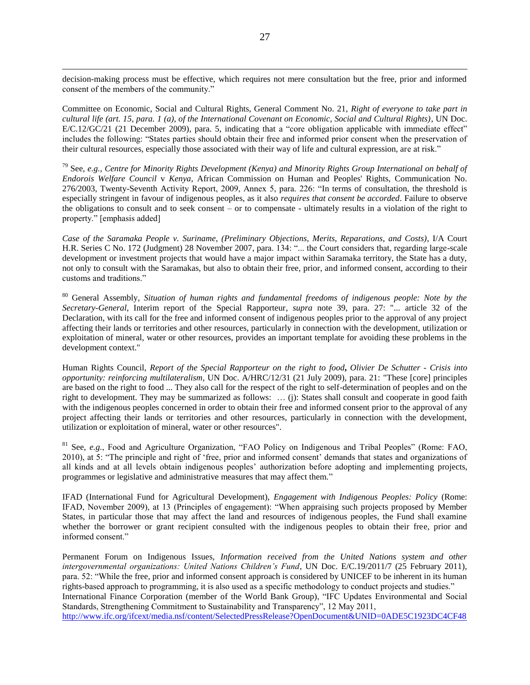decision-making process must be effective, which requires not mere consultation but the free, prior and informed consent of the members of the community."

 $\overline{a}$ 

Committee on Economic, Social and Cultural Rights, General Comment No. 21, *Right of everyone to take part in cultural life (art. 15, para. 1 (a), of the International Covenant on Economic, Social and Cultural Rights)*, UN Doc. E/C.12/GC/21 (21 December 2009), para. 5, indicating that a "core obligation applicable with immediate effect" includes the following: "States parties should obtain their free and informed prior consent when the preservation of their cultural resources, especially those associated with their way of life and cultural expression, are at risk."

<sup>79</sup> See, *e.g.*, *Centre for Minority Rights Development (Kenya) and Minority Rights Group International on behalf of Endorois Welfare Council* v *Kenya*, African Commission on Human and Peoples' Rights, Communication No. 276/2003, Twenty-Seventh Activity Report, 2009, Annex 5, para. 226: "In terms of consultation, the threshold is especially stringent in favour of indigenous peoples, as it also *requires that consent be accorded*. Failure to observe the obligations to consult and to seek consent – or to compensate - ultimately results in a violation of the right to property." [emphasis added]

*Case of the Saramaka People v. Suriname*, *(Preliminary Objections, Merits, Reparations, and Costs)*, I/A Court H.R. Series C No. 172 (Judgment) 28 November 2007, para. 134: "... the Court considers that, regarding large-scale development or investment projects that would have a major impact within Saramaka territory, the State has a duty, not only to consult with the Saramakas, but also to obtain their free, prior, and informed consent, according to their customs and traditions."

<sup>80</sup> General Assembly, *Situation of human rights and fundamental freedoms of indigenous people: Note by the Secretary-General*, Interim report of the Special Rapporteur, *supra* note [39,](#page-8-3) para. 27: "... article 32 of the Declaration, with its call for the free and informed consent of indigenous peoples prior to the approval of any project affecting their lands or territories and other resources, particularly in connection with the development, utilization or exploitation of mineral, water or other resources, provides an important template for avoiding these problems in the development context."

Human Rights Council, *Report of the Special Rapporteur on the right to food***,** *Olivier De Schutter - Crisis into opportunity: reinforcing multilateralism*, UN Doc. A/HRC/12/31 (21 July 2009), para. 21: "These [core] principles are based on the right to food ... They also call for the respect of the right to self-determination of peoples and on the right to development. They may be summarized as follows: … (j): States shall consult and cooperate in good faith with the indigenous peoples concerned in order to obtain their free and informed consent prior to the approval of any project affecting their lands or territories and other resources, particularly in connection with the development, utilization or exploitation of mineral, water or other resources".

<sup>81</sup> See, *e.g.*, Food and Agriculture Organization, "FAO Policy on Indigenous and Tribal Peoples" (Rome: FAO, 2010), at 5: "The principle and right of "free, prior and informed consent" demands that states and organizations of all kinds and at all levels obtain indigenous peoples" authorization before adopting and implementing projects, programmes or legislative and administrative measures that may affect them."

IFAD (International Fund for Agricultural Development), *Engagement with Indigenous Peoples: Policy* (Rome: IFAD, November 2009), at 13 (Principles of engagement): "When appraising such projects proposed by Member States, in particular those that may affect the land and resources of indigenous peoples, the Fund shall examine whether the borrower or grant recipient consulted with the indigenous peoples to obtain their free, prior and informed consent."

Permanent Forum on Indigenous Issues, *Information received from the United Nations system and other intergovernmental organizations: United Nations Children's Fund*, UN Doc. E/C.19/2011/7 (25 February 2011), para. 52: "While the free, prior and informed consent approach is considered by UNICEF to be inherent in its human rights-based approach to programming, it is also used as a specific methodology to conduct projects and studies." International Finance Corporation (member of the World Bank Group), "IFC Updates Environmental and Social Standards, Strengthening Commitment to Sustainability and Transparency", 12 May 2011, [http://www.ifc.org/ifcext/media.nsf/content/SelectedPressRelease?OpenDocument&UNID=0ADE5C1923DC4CF48](http://www.ifc.org/ifcext/media.nsf/content/SelectedPressRelease?OpenDocument&UNID=0ADE5C1923DC4CF48525788E0071FAAA)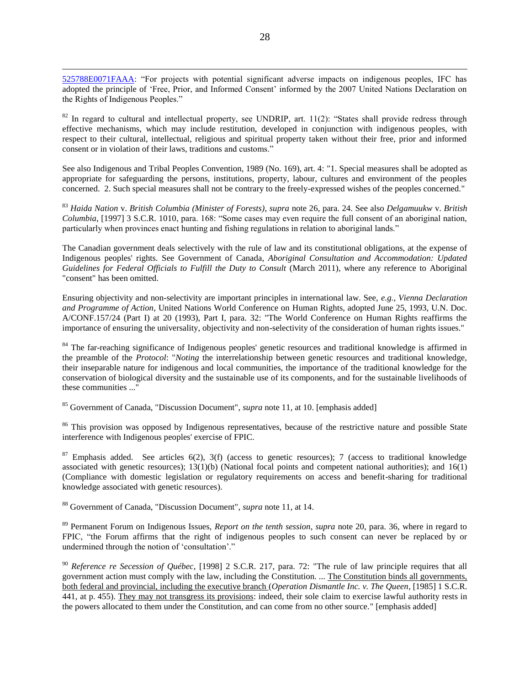[525788E0071FAAA:](http://www.ifc.org/ifcext/media.nsf/content/SelectedPressRelease?OpenDocument&UNID=0ADE5C1923DC4CF48525788E0071FAAA) "For projects with potential significant adverse impacts on indigenous peoples, IFC has adopted the principle of 'Free, Prior, and Informed Consent' informed by the 2007 United Nations Declaration on the Rights of Indigenous Peoples."

 $\overline{a}$ 

 $82$  In regard to cultural and intellectual property, see UNDRIP, art. 11(2): "States shall provide redress through effective mechanisms, which may include restitution, developed in conjunction with indigenous peoples, with respect to their cultural, intellectual, religious and spiritual property taken without their free, prior and informed consent or in violation of their laws, traditions and customs."

See also Indigenous and Tribal Peoples Convention, 1989 (No. 169), art. 4: "1. Special measures shall be adopted as appropriate for safeguarding the persons, institutions, property, labour, cultures and environment of the peoples concerned. 2. Such special measures shall not be contrary to the freely-expressed wishes of the peoples concerned."

<sup>83</sup> *Haida Nation* v. *British Columbia (Minister of Forests)*, *supra* note [26,](#page-5-2) para. 24. See also *Delgamuukw* v. *British Columbia*, [1997] 3 S.C.R. 1010, para. 168: "Some cases may even require the full consent of an aboriginal nation, particularly when provinces enact hunting and fishing regulations in relation to aboriginal lands."

The Canadian government deals selectively with the rule of law and its constitutional obligations, at the expense of Indigenous peoples' rights. See Government of Canada, *Aboriginal Consultation and Accommodation: Updated Guidelines for Federal Officials to Fulfill the Duty to Consult* (March 2011), where any reference to Aboriginal "consent" has been omitted.

Ensuring objectivity and non-selectivity are important principles in international law. See, *e.g.*, *Vienna Declaration and Programme of Action*, United Nations World Conference on Human Rights, adopted June 25, 1993, U.N. Doc. A/CONF.157/24 (Part I) at 20 (1993), Part I, para. 32: "The World Conference on Human Rights reaffirms the importance of ensuring the universality, objectivity and non-selectivity of the consideration of human rights issues."

<sup>84</sup> The far-reaching significance of Indigenous peoples' genetic resources and traditional knowledge is affirmed in the preamble of the *Protocol*: "*Noting* the interrelationship between genetic resources and traditional knowledge, their inseparable nature for indigenous and local communities, the importance of the traditional knowledge for the conservation of biological diversity and the sustainable use of its components, and for the sustainable livelihoods of these communities ..."

<sup>85</sup> Government of Canada, "Discussion Document", *supra* not[e 11,](#page-3-4) at 10. [emphasis added]

<sup>86</sup> This provision was opposed by Indigenous representatives, because of the restrictive nature and possible State interference with Indigenous peoples' exercise of FPIC.

 $87$  Emphasis added. See articles 6(2), 3(f) (access to genetic resources); 7 (access to traditional knowledge associated with genetic resources);  $13(1)(b)$  (National focal points and competent national authorities); and  $16(1)$ (Compliance with domestic legislation or regulatory requirements on access and benefit-sharing for traditional knowledge associated with genetic resources).

<sup>88</sup> Government of Canada, "Discussion Document", *supra* not[e 11,](#page-3-4) at 14.

<sup>89</sup> Permanent Forum on Indigenous Issues, *Report on the tenth session*, *supra* note [20,](#page-4-2) para. 36, where in regard to FPIC, "the Forum affirms that the right of indigenous peoples to such consent can never be replaced by or undermined through the notion of "consultation"."

<sup>90</sup> *Reference re Secession of Québec*, [1998] 2 S.C.R. 217, para. 72: "The rule of law principle requires that all government action must comply with the law, including the Constitution. ... The Constitution binds all governments, both federal and provincial, including the executive branch (*Operation Dismantle Inc. v. The Queen*, [1985] 1 S.C.R. 441, at p. 455). They may not transgress its provisions: indeed, their sole claim to exercise lawful authority rests in the powers allocated to them under the Constitution, and can come from no other source." [emphasis added]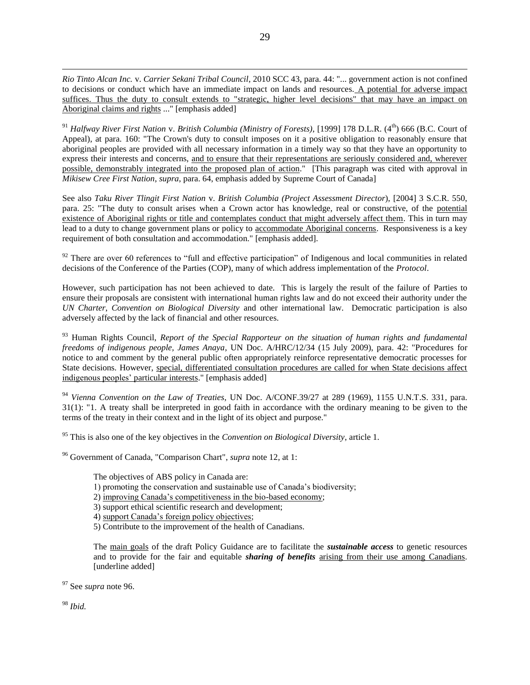*Rio Tinto Alcan Inc.* v. *Carrier Sekani Tribal Council*, 2010 SCC 43, para. 44: "... government action is not confined to decisions or conduct which have an immediate impact on lands and resources. A potential for adverse impact suffices. Thus the duty to consult extends to "strategic, higher level decisions" that may have an impact on Aboriginal claims and rights ..." [emphasis added]

<sup>91</sup> *Halfway River First Nation v. British Columbia (Ministry of Forests)*, [1999] 178 D.L.R. (4<sup>th</sup>) 666 (B.C. Court of Appeal), at para. 160: "The Crown's duty to consult imposes on it a positive obligation to reasonably ensure that aboriginal peoples are provided with all necessary information in a timely way so that they have an opportunity to express their interests and concerns, and to ensure that their representations are seriously considered and, wherever possible, demonstrably integrated into the proposed plan of action." [This paragraph was cited with approval in *Mikisew Cree First Nation*, *supra*, para. 64, emphasis added by Supreme Court of Canada]

See also *Taku River Tlingit First Nation* v. *British Columbia (Project Assessment Director*), [2004] 3 S.C.R. 550, para. 25: "The duty to consult arises when a Crown actor has knowledge, real or constructive, of the potential existence of Aboriginal rights or title and contemplates conduct that might adversely affect them. This in turn may lead to a duty to change government plans or policy to accommodate Aboriginal concerns. Responsiveness is a key requirement of both consultation and accommodation." [emphasis added].

 $92$  There are over 60 references to "full and effective participation" of Indigenous and local communities in related decisions of the Conference of the Parties (COP), many of which address implementation of the *Protocol*.

However, such participation has not been achieved to date. This is largely the result of the failure of Parties to ensure their proposals are consistent with international human rights law and do not exceed their authority under the *UN Charter*, *Convention on Biological Diversity* and other international law. Democratic participation is also adversely affected by the lack of financial and other resources.

<sup>93</sup> Human Rights Council, *Report of the Special Rapporteur on the situation of human rights and fundamental freedoms of indigenous people, James Anaya*, UN Doc. A/HRC/12/34 (15 July 2009), para. 42: "Procedures for notice to and comment by the general public often appropriately reinforce representative democratic processes for State decisions. However, special, differentiated consultation procedures are called for when State decisions affect indigenous peoples" particular interests." [emphasis added]

<sup>94</sup> *Vienna Convention on the Law of Treaties*, UN Doc. A/CONF.39/27 at 289 (1969), 1155 U.N.T.S. 331, para. 31(1): "1. A treaty shall be interpreted in good faith in accordance with the ordinary meaning to be given to the terms of the treaty in their context and in the light of its object and purpose."

<sup>95</sup> This is also one of the key objectives in the *Convention on Biological Diversity*, article 1.

<sup>96</sup> Government of Canada, "Comparison Chart", *supra* note [12,](#page-3-3) at 1:

The objectives of ABS policy in Canada are:

- 1) promoting the conservation and sustainable use of Canada"s biodiversity;
- 2) improving Canada"s competitiveness in the bio-based economy;
- 3) support ethical scientific research and development;
- 4) support Canada's foreign policy objectives;
- 5) Contribute to the improvement of the health of Canadians.

The main goals of the draft Policy Guidance are to facilitate the *sustainable access* to genetic resources and to provide for the fair and equitable *sharing of benefits* arising from their use among Canadians. [underline added]

<sup>97</sup> See *supra* note [96.](#page-16-0)

<sup>98</sup> *Ibid.*

 $\overline{a}$